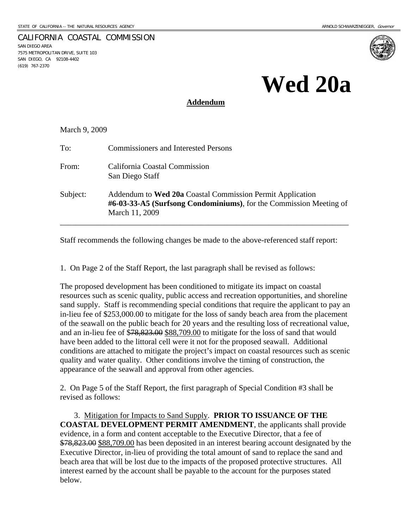SAN DIEGO AREA

(619) 767-2370

7575 METROPOLITAN DRIVE, SUITE 103 SAN DIEGO, CA 92108-4402

CALIFORNIA COASTAL COMMISSION

# **Wed 20a**

## **Addendum**

March 9, 2009

| To:      | <b>Commissioners and Interested Persons</b>                                                                                                       |
|----------|---------------------------------------------------------------------------------------------------------------------------------------------------|
| From:    | California Coastal Commission<br>San Diego Staff                                                                                                  |
| Subject: | Addendum to Wed 20a Coastal Commission Permit Application<br>#6-03-33-A5 (Surfsong Condominiums), for the Commission Meeting of<br>March 11, 2009 |

Staff recommends the following changes be made to the above-referenced staff report:

1. On Page 2 of the Staff Report, the last paragraph shall be revised as follows:

The proposed development has been conditioned to mitigate its impact on coastal resources such as scenic quality, public access and recreation opportunities, and shoreline sand supply. Staff is recommending special conditions that require the applicant to pay an in-lieu fee of \$253,000.00 to mitigate for the loss of sandy beach area from the placement of the seawall on the public beach for 20 years and the resulting loss of recreational value, and an in-lieu fee of \$78,823.00 \$88,709.00 to mitigate for the loss of sand that would have been added to the littoral cell were it not for the proposed seawall. Additional conditions are attached to mitigate the project's impact on coastal resources such as scenic quality and water quality. Other conditions involve the timing of construction, the appearance of the seawall and approval from other agencies.

2. On Page 5 of the Staff Report, the first paragraph of Special Condition #3 shall be revised as follows:

 3. Mitigation for Impacts to Sand Supply. **PRIOR TO ISSUANCE OF THE COASTAL DEVELOPMENT PERMIT AMENDMENT**, the applicants shall provide evidence, in a form and content acceptable to the Executive Director, that a fee of \$78,823.00 \$88,709.00 has been deposited in an interest bearing account designated by the Executive Director, in-lieu of providing the total amount of sand to replace the sand and beach area that will be lost due to the impacts of the proposed protective structures. All interest earned by the account shall be payable to the account for the purposes stated below.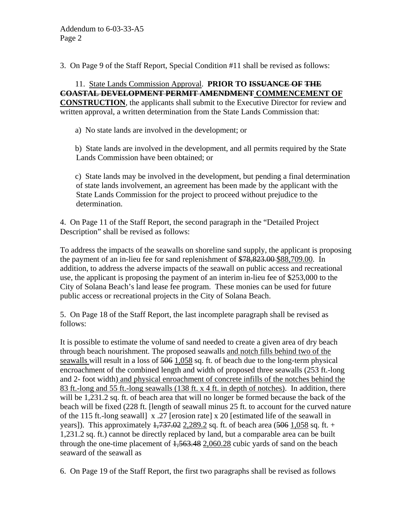3. On Page 9 of the Staff Report, Special Condition #11 shall be revised as follows:

 11. State Lands Commission Approval. **PRIOR TO ISSUANCE OF THE COASTAL DEVELOPMENT PERMIT AMENDMENT COMMENCEMENT OF CONSTRUCTION**, the applicants shall submit to the Executive Director for review and written approval, a written determination from the State Lands Commission that:

a) No state lands are involved in the development; or

 b) State lands are involved in the development, and all permits required by the State Lands Commission have been obtained; or

 c) State lands may be involved in the development, but pending a final determination of state lands involvement, an agreement has been made by the applicant with the State Lands Commission for the project to proceed without prejudice to the determination.

4. On Page 11 of the Staff Report, the second paragraph in the "Detailed Project Description" shall be revised as follows:

To address the impacts of the seawalls on shoreline sand supply, the applicant is proposing the payment of an in-lieu fee for sand replenishment of  $\frac{$78,823.00}{$88,709.00}$ . In addition, to address the adverse impacts of the seawall on public access and recreational use, the applicant is proposing the payment of an interim in-lieu fee of \$253,000 to the City of Solana Beach's land lease fee program. These monies can be used for future public access or recreational projects in the City of Solana Beach.

5. On Page 18 of the Staff Report, the last incomplete paragraph shall be revised as follows:

It is possible to estimate the volume of sand needed to create a given area of dry beach through beach nourishment. The proposed seawalls and notch fills behind two of the seawalls will result in a loss of 506 1,058 sq. ft. of beach due to the long-term physical encroachment of the combined length and width of proposed three seawalls (253 ft.-long and 2- foot width) and physical enroachment of concrete infills of the notches behind the 83 ft.-long and 55 ft.-long seawalls (138 ft. x 4 ft. in depth of notches). In addition, there will be 1,231.2 sq. ft. of beach area that will no longer be formed because the back of the beach will be fixed (228 ft. [length of seawall minus 25 ft. to account for the curved nature of the 115 ft.-long seawall] x .27 [erosion rate] x 20 [estimated life of the seawall in years]). This approximately  $1,737.02$  2,289.2 sq. ft. of beach area (506 1,058 sq. ft. + 1,231.2 sq. ft.) cannot be directly replaced by land, but a comparable area can be built through the one-time placement of  $1,563.48$  2,060.28 cubic yards of sand on the beach seaward of the seawall as

6. On Page 19 of the Staff Report, the first two paragraphs shall be revised as follows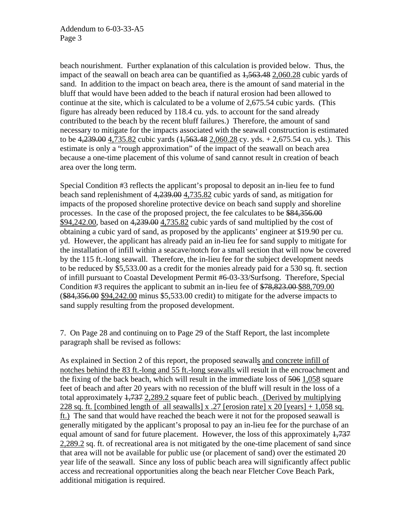beach nourishment. Further explanation of this calculation is provided below. Thus, the impact of the seawall on beach area can be quantified as  $1,563.48$  2,060.28 cubic yards of sand. In addition to the impact on beach area, there is the amount of sand material in the bluff that would have been added to the beach if natural erosion had been allowed to continue at the site, which is calculated to be a volume of 2,675.54 cubic yards. (This figure has already been reduced by 118.4 cu. yds. to account for the sand already contributed to the beach by the recent bluff failures.) Therefore, the amount of sand necessary to mitigate for the impacts associated with the seawall construction is estimated to be  $4,239.00$  4,735.82 cubic yards  $(1,563.48, 2,060.28)$  cy. yds. + 2,675.54 cu. yds.). This estimate is only a "rough approximation" of the impact of the seawall on beach area because a one-time placement of this volume of sand cannot result in creation of beach area over the long term.

Special Condition #3 reflects the applicant's proposal to deposit an in-lieu fee to fund beach sand replenishment of 4,239.00 4,735.82 cubic yards of sand, as mitigation for impacts of the proposed shoreline protective device on beach sand supply and shoreline processes. In the case of the proposed project, the fee calculates to be \$84,356.00 \$94,242.00, based on 4,239.00 4,735.82 cubic yards of sand multiplied by the cost of obtaining a cubic yard of sand, as proposed by the applicants' engineer at \$19.90 per cu. yd. However, the applicant has already paid an in-lieu fee for sand supply to mitigate for the installation of infill within a seacave/notch for a small section that will now be covered by the 115 ft.-long seawall. Therefore, the in-lieu fee for the subject development needs to be reduced by \$5,533.00 as a credit for the monies already paid for a 530 sq. ft. section of infill pursuant to Coastal Development Permit #6-03-33/Surfsong. Therefore, Special Condition #3 requires the applicant to submit an in-lieu fee of \$78,823.00 \$88,709.00 (\$84,356.00 \$94,242.00 minus \$5,533.00 credit) to mitigate for the adverse impacts to sand supply resulting from the proposed development.

7. On Page 28 and continuing on to Page 29 of the Staff Report, the last incomplete paragraph shall be revised as follows:

As explained in Section 2 of this report, the proposed seawalls and concrete infill of notches behind the 83 ft.-long and 55 ft.-long seawalls will result in the encroachment and the fixing of the back beach, which will result in the immediate loss of 506 1,058 square feet of beach and after 20 years with no recession of the bluff will result in the loss of a total approximately 1,737 2,289.2 square feet of public beach. (Derived by multiplying 228 sq. ft. [combined length of all seawalls] x .27 [erosion rate] x 20 [years]  $+ 1,058$  sq. ft.) The sand that would have reached the beach were it not for the proposed seawall is generally mitigated by the applicant's proposal to pay an in-lieu fee for the purchase of an equal amount of sand for future placement. However, the loss of this approximately  $\frac{1}{7}$ 2,289.2 sq. ft. of recreational area is not mitigated by the one-time placement of sand since that area will not be available for public use (or placement of sand) over the estimated 20 year life of the seawall. Since any loss of public beach area will significantly affect public access and recreational opportunities along the beach near Fletcher Cove Beach Park, additional mitigation is required.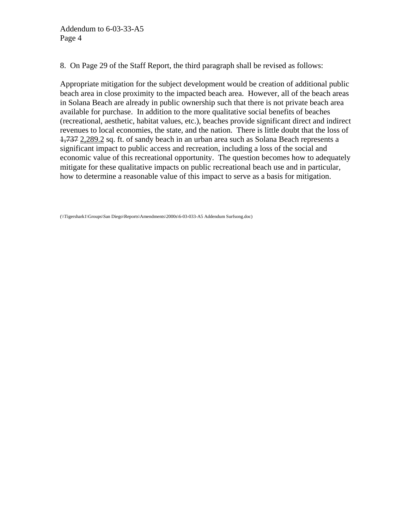8. On Page 29 of the Staff Report, the third paragraph shall be revised as follows:

Appropriate mitigation for the subject development would be creation of additional public beach area in close proximity to the impacted beach area. However, all of the beach areas in Solana Beach are already in public ownership such that there is not private beach area available for purchase. In addition to the more qualitative social benefits of beaches (recreational, aesthetic, habitat values, etc.), beaches provide significant direct and indirect revenues to local economies, the state, and the nation. There is little doubt that the loss of 1,737 2,289.2 sq. ft. of sandy beach in an urban area such as Solana Beach represents a significant impact to public access and recreation, including a loss of the social and economic value of this recreational opportunity. The question becomes how to adequately mitigate for these qualitative impacts on public recreational beach use and in particular, how to determine a reasonable value of this impact to serve as a basis for mitigation.

(\\Tigershark1\Groups\San Diego\Reports\Amendments\2000s\6-03-033-A5 Addendum Surfsong.doc)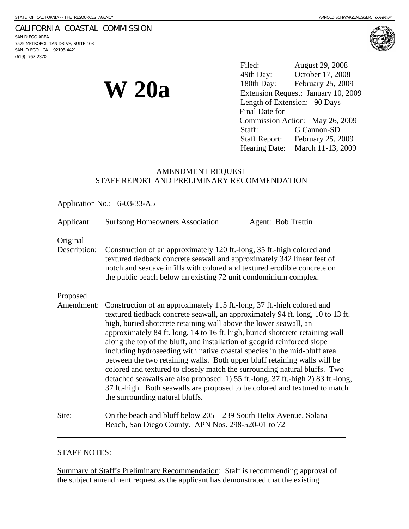## CALIFORNIA COASTAL COMMISSION

SAN DIEGO AREA 7575 METROPOLITAN DRIVE, SUITE 103 SAN DIEGO, CA 92108-4421 (619) 767-2370



**W 20a** 

Filed: August 29, 2008 49th Day: October 17, 2008 180th Day: February 25, 2009 Extension Request: January 10, 2009 Length of Extension: 90 Days Final Date for Commission Action: May 26, 2009 Staff: G Cannon-SD Staff Report: February 25, 2009 Hearing Date: March 11-13, 2009

# AMENDMENT REQUEST STAFF REPORT AND PRELIMINARY RECOMMENDATION

Application No.: 6-03-33-A5

Applicant: Surfsong Homeowners Association Agent: Bob Trettin

Original

Description: Construction of an approximately 120 ft.-long, 35 ft.-high colored and textured tiedback concrete seawall and approximately 342 linear feet of notch and seacave infills with colored and textured erodible concrete on the public beach below an existing 72 unit condominium complex.

## Proposed

- Amendment: Construction of an approximately 115 ft.-long, 37 ft.-high colored and textured tiedback concrete seawall, an approximately 94 ft. long, 10 to 13 ft. high, buried shotcrete retaining wall above the lower seawall, an approximately 84 ft. long, 14 to 16 ft. high, buried shotcrete retaining wall along the top of the bluff, and installation of geogrid reinforced slope including hydroseeding with native coastal species in the mid-bluff area between the two retaining walls. Both upper bluff retaining walls will be colored and textured to closely match the surrounding natural bluffs. Two detached seawalls are also proposed: 1) 55 ft.-long, 37 ft.-high 2) 83 ft.-long, 37 ft.-high. Both seawalls are proposed to be colored and textured to match the surrounding natural bluffs.
- Site: On the beach and bluff below 205 239 South Helix Avenue, Solana Beach, San Diego County. APN Nos. 298-520-01 to 72

## STAFF NOTES:

 $\overline{a}$ 

Summary of Staff's Preliminary Recommendation: Staff is recommending approval of the subject amendment request as the applicant has demonstrated that the existing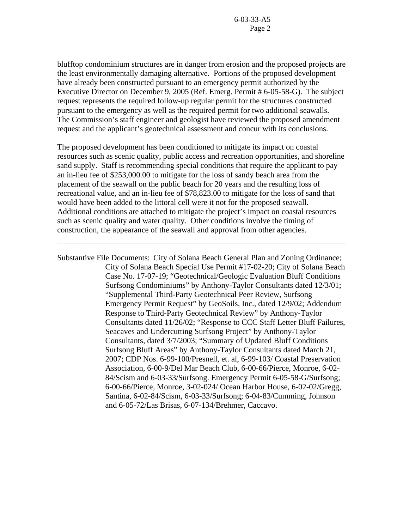blufftop condominium structures are in danger from erosion and the proposed projects are the least environmentally damaging alternative. Portions of the proposed development have already been constructed pursuant to an emergency permit authorized by the Executive Director on December 9, 2005 (Ref. Emerg. Permit # 6-05-58-G). The subject request represents the required follow-up regular permit for the structures constructed pursuant to the emergency as well as the required permit for two additional seawalls. The Commission's staff engineer and geologist have reviewed the proposed amendment request and the applicant's geotechnical assessment and concur with its conclusions.

The proposed development has been conditioned to mitigate its impact on coastal resources such as scenic quality, public access and recreation opportunities, and shoreline sand supply. Staff is recommending special conditions that require the applicant to pay an in-lieu fee of \$253,000.00 to mitigate for the loss of sandy beach area from the placement of the seawall on the public beach for 20 years and the resulting loss of recreational value, and an in-lieu fee of \$78,823.00 to mitigate for the loss of sand that would have been added to the littoral cell were it not for the proposed seawall. Additional conditions are attached to mitigate the project's impact on coastal resources such as scenic quality and water quality. Other conditions involve the timing of construction, the appearance of the seawall and approval from other agencies.

 $\overline{a}$ 

 $\overline{a}$ 

Substantive File Documents: City of Solana Beach General Plan and Zoning Ordinance; City of Solana Beach Special Use Permit #17-02-20; City of Solana Beach Case No. 17-07-19; "Geotechnical/Geologic Evaluation Bluff Conditions Surfsong Condominiums" by Anthony-Taylor Consultants dated 12/3/01; "Supplemental Third-Party Geotechnical Peer Review, Surfsong Emergency Permit Request" by GeoSoils, Inc., dated 12/9/02; Addendum Response to Third-Party Geotechnical Review" by Anthony-Taylor Consultants dated 11/26/02; "Response to CCC Staff Letter Bluff Failures, Seacaves and Undercutting Surfsong Project" by Anthony-Taylor Consultants, dated 3/7/2003; "Summary of Updated Bluff Conditions Surfsong Bluff Areas" by Anthony-Taylor Consultants dated March 21, 2007; CDP Nos. 6-99-100/Presnell, et. al, 6-99-103/ Coastal Preservation Association, 6-00-9/Del Mar Beach Club, 6-00-66/Pierce, Monroe, 6-02- 84/Scism and 6-03-33/Surfsong. Emergency Permit 6-05-58-G/Surfsong; 6-00-66/Pierce, Monroe, 3-02-024/ Ocean Harbor House, 6-02-02/Gregg, Santina, 6-02-84/Scism, 6-03-33/Surfsong; 6-04-83/Cumming, Johnson and 6-05-72/Las Brisas, 6-07-134/Brehmer, Caccavo.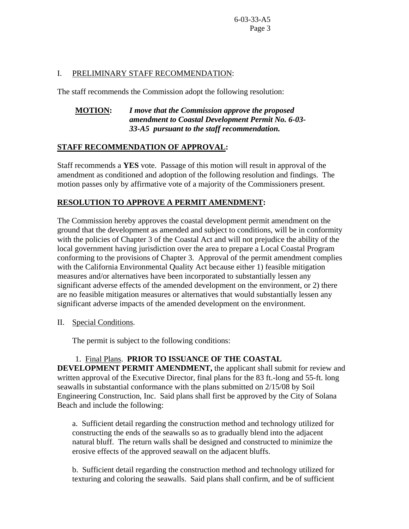# I. PRELIMINARY STAFF RECOMMENDATION:

The staff recommends the Commission adopt the following resolution:

# **MOTION:** *I move that the Commission approve the proposed amendment to Coastal Development Permit No. 6-03- 33-A5 pursuant to the staff recommendation.*

# **STAFF RECOMMENDATION OF APPROVAL:**

Staff recommends a **YES** vote. Passage of this motion will result in approval of the amendment as conditioned and adoption of the following resolution and findings. The motion passes only by affirmative vote of a majority of the Commissioners present.

# **RESOLUTION TO APPROVE A PERMIT AMENDMENT:**

The Commission hereby approves the coastal development permit amendment on the ground that the development as amended and subject to conditions, will be in conformity with the policies of Chapter 3 of the Coastal Act and will not prejudice the ability of the local government having jurisdiction over the area to prepare a Local Coastal Program conforming to the provisions of Chapter 3. Approval of the permit amendment complies with the California Environmental Quality Act because either 1) feasible mitigation measures and/or alternatives have been incorporated to substantially lessen any significant adverse effects of the amended development on the environment, or 2) there are no feasible mitigation measures or alternatives that would substantially lessen any significant adverse impacts of the amended development on the environment.

II. Special Conditions.

The permit is subject to the following conditions:

# 1. Final Plans. **PRIOR TO ISSUANCE OF THE COASTAL**

**DEVELOPMENT PERMIT AMENDMENT,** the applicant shall submit for review and written approval of the Executive Director, final plans for the 83 ft.-long and 55-ft. long seawalls in substantial conformance with the plans submitted on 2/15/08 by Soil Engineering Construction, Inc. Said plans shall first be approved by the City of Solana Beach and include the following:

 a. Sufficient detail regarding the construction method and technology utilized for constructing the ends of the seawalls so as to gradually blend into the adjacent natural bluff. The return walls shall be designed and constructed to minimize the erosive effects of the approved seawall on the adjacent bluffs.

 b. Sufficient detail regarding the construction method and technology utilized for texturing and coloring the seawalls. Said plans shall confirm, and be of sufficient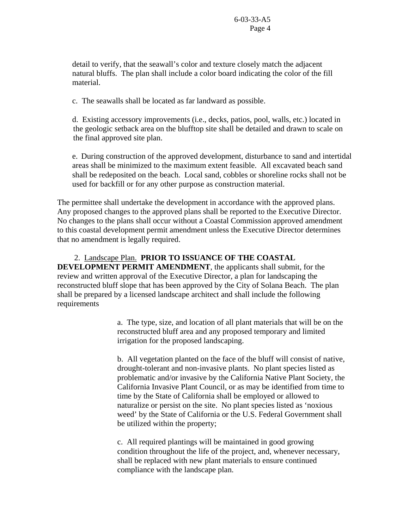detail to verify, that the seawall's color and texture closely match the adjacent natural bluffs. The plan shall include a color board indicating the color of the fill material.

c. The seawalls shall be located as far landward as possible.

 d. Existing accessory improvements (i.e., decks, patios, pool, walls, etc.) located in the geologic setback area on the blufftop site shall be detailed and drawn to scale on the final approved site plan.

e. During construction of the approved development, disturbance to sand and intertidal areas shall be minimized to the maximum extent feasible. All excavated beach sand shall be redeposited on the beach. Local sand, cobbles or shoreline rocks shall not be used for backfill or for any other purpose as construction material.

The permittee shall undertake the development in accordance with the approved plans. Any proposed changes to the approved plans shall be reported to the Executive Director. No changes to the plans shall occur without a Coastal Commission approved amendment to this coastal development permit amendment unless the Executive Director determines that no amendment is legally required.

## 2. Landscape Plan. **PRIOR TO ISSUANCE OF THE COASTAL**

**DEVELOPMENT PERMIT AMENDMENT**, the applicants shall submit, for the review and written approval of the Executive Director, a plan for landscaping the reconstructed bluff slope that has been approved by the City of Solana Beach. The plan shall be prepared by a licensed landscape architect and shall include the following requirements

> a. The type, size, and location of all plant materials that will be on the reconstructed bluff area and any proposed temporary and limited irrigation for the proposed landscaping.

> b. All vegetation planted on the face of the bluff will consist of native, drought-tolerant and non-invasive plants. No plant species listed as problematic and/or invasive by the California Native Plant Society, the California Invasive Plant Council, or as may be identified from time to time by the State of California shall be employed or allowed to naturalize or persist on the site. No plant species listed as 'noxious weed' by the State of California or the U.S. Federal Government shall be utilized within the property;

 c. All required plantings will be maintained in good growing condition throughout the life of the project, and, whenever necessary, shall be replaced with new plant materials to ensure continued compliance with the landscape plan.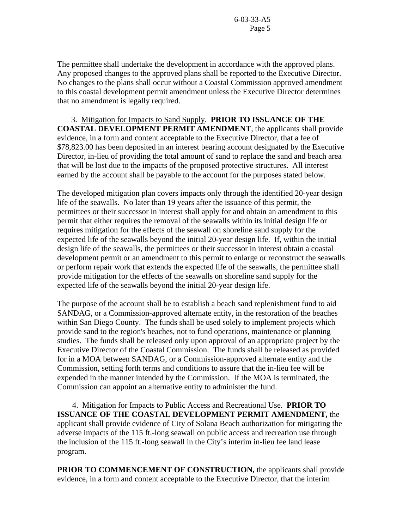The permittee shall undertake the development in accordance with the approved plans. Any proposed changes to the approved plans shall be reported to the Executive Director. No changes to the plans shall occur without a Coastal Commission approved amendment to this coastal development permit amendment unless the Executive Director determines that no amendment is legally required.

 3. Mitigation for Impacts to Sand Supply. **PRIOR TO ISSUANCE OF THE COASTAL DEVELOPMENT PERMIT AMENDMENT**, the applicants shall provide evidence, in a form and content acceptable to the Executive Director, that a fee of \$78,823.00 has been deposited in an interest bearing account designated by the Executive Director, in-lieu of providing the total amount of sand to replace the sand and beach area that will be lost due to the impacts of the proposed protective structures. All interest earned by the account shall be payable to the account for the purposes stated below.

The developed mitigation plan covers impacts only through the identified 20-year design life of the seawalls. No later than 19 years after the issuance of this permit, the permittees or their successor in interest shall apply for and obtain an amendment to this permit that either requires the removal of the seawalls within its initial design life or requires mitigation for the effects of the seawall on shoreline sand supply for the expected life of the seawalls beyond the initial 20-year design life. If, within the initial design life of the seawalls, the permittees or their successor in interest obtain a coastal development permit or an amendment to this permit to enlarge or reconstruct the seawalls or perform repair work that extends the expected life of the seawalls, the permittee shall provide mitigation for the effects of the seawalls on shoreline sand supply for the expected life of the seawalls beyond the initial 20-year design life.

The purpose of the account shall be to establish a beach sand replenishment fund to aid SANDAG, or a Commission-approved alternate entity, in the restoration of the beaches within San Diego County. The funds shall be used solely to implement projects which provide sand to the region's beaches, not to fund operations, maintenance or planning studies. The funds shall be released only upon approval of an appropriate project by the Executive Director of the Coastal Commission. The funds shall be released as provided for in a MOA between SANDAG, or a Commission-approved alternate entity and the Commission, setting forth terms and conditions to assure that the in-lieu fee will be expended in the manner intended by the Commission. If the MOA is terminated, the Commission can appoint an alternative entity to administer the fund.

 4. Mitigation for Impacts to Public Access and Recreational Use. **PRIOR TO ISSUANCE OF THE COASTAL DEVELOPMENT PERMIT AMENDMENT,** the applicant shall provide evidence of City of Solana Beach authorization for mitigating the adverse impacts of the 115 ft.-long seawall on public access and recreation use through the inclusion of the 115 ft.-long seawall in the City's interim in-lieu fee land lease program.

**PRIOR TO COMMENCEMENT OF CONSTRUCTION,** the applicants shall provide evidence, in a form and content acceptable to the Executive Director, that the interim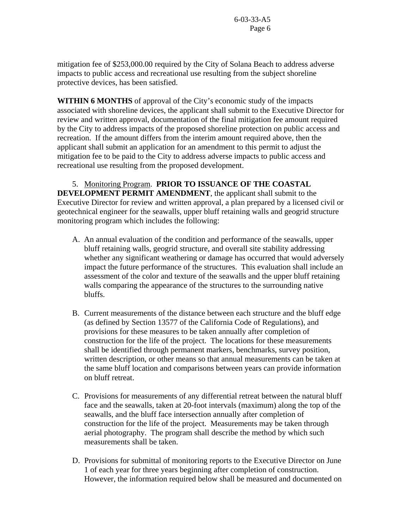mitigation fee of \$253,000.00 required by the City of Solana Beach to address adverse impacts to public access and recreational use resulting from the subject shoreline protective devices, has been satisfied.

**WITHIN 6 MONTHS** of approval of the City's economic study of the impacts associated with shoreline devices, the applicant shall submit to the Executive Director for review and written approval, documentation of the final mitigation fee amount required by the City to address impacts of the proposed shoreline protection on public access and recreation. If the amount differs from the interim amount required above, then the applicant shall submit an application for an amendment to this permit to adjust the mitigation fee to be paid to the City to address adverse impacts to public access and recreational use resulting from the proposed development.

 5. Monitoring Program. **PRIOR TO ISSUANCE OF THE COASTAL DEVELOPMENT PERMIT AMENDMENT**, the applicant shall submit to the Executive Director for review and written approval, a plan prepared by a licensed civil or geotechnical engineer for the seawalls, upper bluff retaining walls and geogrid structure monitoring program which includes the following:

- A. An annual evaluation of the condition and performance of the seawalls, upper bluff retaining walls, geogrid structure, and overall site stability addressing whether any significant weathering or damage has occurred that would adversely impact the future performance of the structures. This evaluation shall include an assessment of the color and texture of the seawalls and the upper bluff retaining walls comparing the appearance of the structures to the surrounding native bluffs.
- B. Current measurements of the distance between each structure and the bluff edge (as defined by Section 13577 of the California Code of Regulations), and provisions for these measures to be taken annually after completion of construction for the life of the project. The locations for these measurements shall be identified through permanent markers, benchmarks, survey position, written description, or other means so that annual measurements can be taken at the same bluff location and comparisons between years can provide information on bluff retreat.
- C. Provisions for measurements of any differential retreat between the natural bluff face and the seawalls, taken at 20-foot intervals (maximum) along the top of the seawalls, and the bluff face intersection annually after completion of construction for the life of the project. Measurements may be taken through aerial photography. The program shall describe the method by which such measurements shall be taken.
- D. Provisions for submittal of monitoring reports to the Executive Director on June 1 of each year for three years beginning after completion of construction. However, the information required below shall be measured and documented on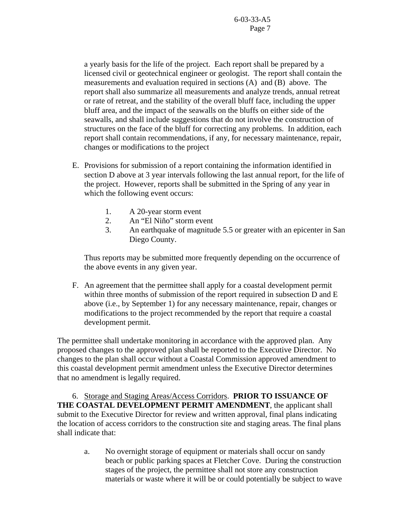a yearly basis for the life of the project. Each report shall be prepared by a licensed civil or geotechnical engineer or geologist. The report shall contain the measurements and evaluation required in sections (A) and (B) above. The report shall also summarize all measurements and analyze trends, annual retreat or rate of retreat, and the stability of the overall bluff face, including the upper bluff area, and the impact of the seawalls on the bluffs on either side of the seawalls, and shall include suggestions that do not involve the construction of structures on the face of the bluff for correcting any problems. In addition, each report shall contain recommendations, if any, for necessary maintenance, repair, changes or modifications to the project

- E. Provisions for submission of a report containing the information identified in section D above at 3 year intervals following the last annual report, for the life of the project. However, reports shall be submitted in the Spring of any year in which the following event occurs:
	- 1. A 20-year storm event
	- 2. An "El Niño" storm event
	- 3. An earthquake of magnitude 5.5 or greater with an epicenter in San Diego County.

Thus reports may be submitted more frequently depending on the occurrence of the above events in any given year.

 F. An agreement that the permittee shall apply for a coastal development permit within three months of submission of the report required in subsection D and E above (i.e., by September 1) for any necessary maintenance, repair, changes or modifications to the project recommended by the report that require a coastal development permit.

The permittee shall undertake monitoring in accordance with the approved plan. Any proposed changes to the approved plan shall be reported to the Executive Director. No changes to the plan shall occur without a Coastal Commission approved amendment to this coastal development permit amendment unless the Executive Director determines that no amendment is legally required.

 6. Storage and Staging Areas/Access Corridors. **PRIOR TO ISSUANCE OF THE COASTAL DEVELOPMENT PERMIT AMENDMENT**, the applicant shall submit to the Executive Director for review and written approval, final plans indicating the location of access corridors to the construction site and staging areas. The final plans shall indicate that:

 a. No overnight storage of equipment or materials shall occur on sandy beach or public parking spaces at Fletcher Cove. During the construction stages of the project, the permittee shall not store any construction materials or waste where it will be or could potentially be subject to wave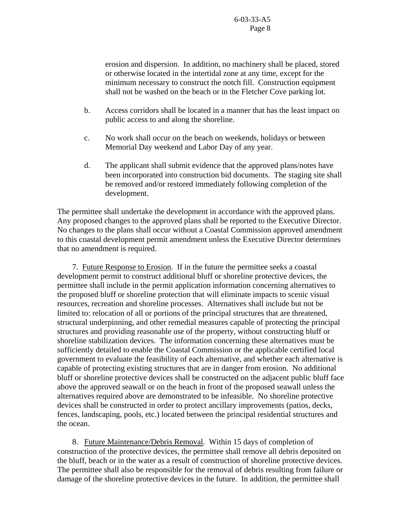erosion and dispersion. In addition, no machinery shall be placed, stored or otherwise located in the intertidal zone at any time, except for the minimum necessary to construct the notch fill. Construction equipment shall not be washed on the beach or in the Fletcher Cove parking lot.

- b. Access corridors shall be located in a manner that has the least impact on public access to and along the shoreline.
- c. No work shall occur on the beach on weekends, holidays or between Memorial Day weekend and Labor Day of any year.
- d. The applicant shall submit evidence that the approved plans/notes have been incorporated into construction bid documents. The staging site shall be removed and/or restored immediately following completion of the development.

The permittee shall undertake the development in accordance with the approved plans. Any proposed changes to the approved plans shall be reported to the Executive Director. No changes to the plans shall occur without a Coastal Commission approved amendment to this coastal development permit amendment unless the Executive Director determines that no amendment is required.

 7. Future Response to Erosion. If in the future the permittee seeks a coastal development permit to construct additional bluff or shoreline protective devices, the permittee shall include in the permit application information concerning alternatives to the proposed bluff or shoreline protection that will eliminate impacts to scenic visual resources, recreation and shoreline processes. Alternatives shall include but not be limited to: relocation of all or portions of the principal structures that are threatened, structural underpinning, and other remedial measures capable of protecting the principal structures and providing reasonable use of the property, without constructing bluff or shoreline stabilization devices. The information concerning these alternatives must be sufficiently detailed to enable the Coastal Commission or the applicable certified local government to evaluate the feasibility of each alternative, and whether each alternative is capable of protecting existing structures that are in danger from erosion. No additional bluff or shoreline protective devices shall be constructed on the adjacent public bluff face above the approved seawall or on the beach in front of the proposed seawall unless the alternatives required above are demonstrated to be infeasible. No shoreline protective devices shall be constructed in order to protect ancillary improvements (patios, decks, fences, landscaping, pools, etc.) located between the principal residential structures and the ocean.

 8. Future Maintenance/Debris Removal. Within 15 days of completion of construction of the protective devices, the permittee shall remove all debris deposited on the bluff, beach or in the water as a result of construction of shoreline protective devices. The permittee shall also be responsible for the removal of debris resulting from failure or damage of the shoreline protective devices in the future. In addition, the permittee shall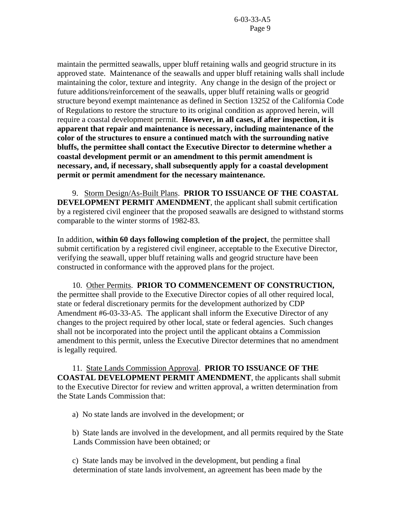maintain the permitted seawalls, upper bluff retaining walls and geogrid structure in its approved state. Maintenance of the seawalls and upper bluff retaining walls shall include maintaining the color, texture and integrity. Any change in the design of the project or future additions/reinforcement of the seawalls, upper bluff retaining walls or geogrid structure beyond exempt maintenance as defined in Section 13252 of the California Code of Regulations to restore the structure to its original condition as approved herein, will require a coastal development permit. **However, in all cases, if after inspection, it is apparent that repair and maintenance is necessary, including maintenance of the color of the structures to ensure a continued match with the surrounding native bluffs, the permittee shall contact the Executive Director to determine whether a coastal development permit or an amendment to this permit amendment is necessary, and, if necessary, shall subsequently apply for a coastal development permit or permit amendment for the necessary maintenance.**

 9. Storm Design/As-Built Plans. **PRIOR TO ISSUANCE OF THE COASTAL DEVELOPMENT PERMIT AMENDMENT**, the applicant shall submit certification by a registered civil engineer that the proposed seawalls are designed to withstand storms comparable to the winter storms of 1982-83.

In addition, **within 60 days following completion of the project**, the permittee shall submit certification by a registered civil engineer, acceptable to the Executive Director, verifying the seawall, upper bluff retaining walls and geogrid structure have been constructed in conformance with the approved plans for the project.

10. Other Permits. **PRIOR TO COMMENCEMENT OF CONSTRUCTION,**  the permittee shall provide to the Executive Director copies of all other required local, state or federal discretionary permits for the development authorized by CDP Amendment #6-03-33-A5. The applicant shall inform the Executive Director of any changes to the project required by other local, state or federal agencies. Such changes shall not be incorporated into the project until the applicant obtains a Commission amendment to this permit, unless the Executive Director determines that no amendment is legally required.

 11. State Lands Commission Approval. **PRIOR TO ISSUANCE OF THE COASTAL DEVELOPMENT PERMIT AMENDMENT**, the applicants shall submit to the Executive Director for review and written approval, a written determination from the State Lands Commission that:

a) No state lands are involved in the development; or

 b) State lands are involved in the development, and all permits required by the State Lands Commission have been obtained; or

 c) State lands may be involved in the development, but pending a final determination of state lands involvement, an agreement has been made by the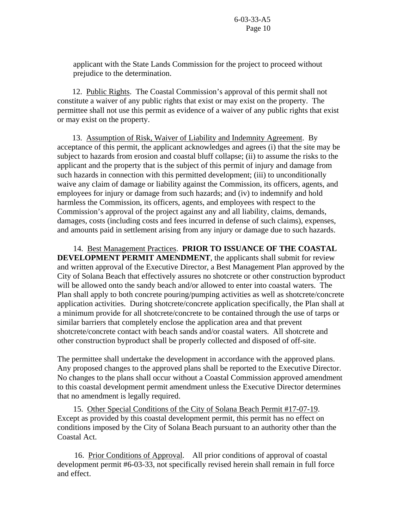applicant with the State Lands Commission for the project to proceed without prejudice to the determination.

 12. Public Rights. The Coastal Commission's approval of this permit shall not constitute a waiver of any public rights that exist or may exist on the property. The permittee shall not use this permit as evidence of a waiver of any public rights that exist or may exist on the property.

13. Assumption of Risk, Waiver of Liability and Indemnity Agreement. By acceptance of this permit, the applicant acknowledges and agrees (i) that the site may be subject to hazards from erosion and coastal bluff collapse; (ii) to assume the risks to the applicant and the property that is the subject of this permit of injury and damage from such hazards in connection with this permitted development; (iii) to unconditionally waive any claim of damage or liability against the Commission, its officers, agents, and employees for injury or damage from such hazards; and (iv) to indemnify and hold harmless the Commission, its officers, agents, and employees with respect to the Commission's approval of the project against any and all liability, claims, demands, damages, costs (including costs and fees incurred in defense of such claims), expenses, and amounts paid in settlement arising from any injury or damage due to such hazards.

 14. Best Management Practices. **PRIOR TO ISSUANCE OF THE COASTAL DEVELOPMENT PERMIT AMENDMENT**, the applicants shall submit for review and written approval of the Executive Director, a Best Management Plan approved by the City of Solana Beach that effectively assures no shotcrete or other construction byproduct will be allowed onto the sandy beach and/or allowed to enter into coastal waters. The Plan shall apply to both concrete pouring/pumping activities as well as shotcrete/concrete application activities. During shotcrete/concrete application specifically, the Plan shall at a minimum provide for all shotcrete/concrete to be contained through the use of tarps or similar barriers that completely enclose the application area and that prevent shotcrete/concrete contact with beach sands and/or coastal waters. All shotcrete and other construction byproduct shall be properly collected and disposed of off-site.

The permittee shall undertake the development in accordance with the approved plans. Any proposed changes to the approved plans shall be reported to the Executive Director. No changes to the plans shall occur without a Coastal Commission approved amendment to this coastal development permit amendment unless the Executive Director determines that no amendment is legally required.

 15. Other Special Conditions of the City of Solana Beach Permit #17-07-19. Except as provided by this coastal development permit, this permit has no effect on conditions imposed by the City of Solana Beach pursuant to an authority other than the Coastal Act.

 16. Prior Conditions of Approval. All prior conditions of approval of coastal development permit #6-03-33, not specifically revised herein shall remain in full force and effect.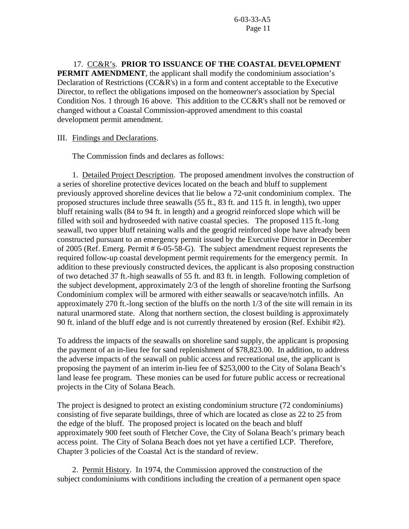17. CC&R's. **PRIOR TO ISSUANCE OF THE COASTAL DEVELOPMENT PERMIT AMENDMENT**, the applicant shall modify the condominium association's Declaration of Restrictions (CC&R's) in a form and content acceptable to the Executive Director, to reflect the obligations imposed on the homeowner's association by Special Condition Nos. 1 through 16 above. This addition to the CC&R's shall not be removed or changed without a Coastal Commission-approved amendment to this coastal development permit amendment.

## III. Findings and Declarations.

The Commission finds and declares as follows:

 1. Detailed Project Description. The proposed amendment involves the construction of a series of shoreline protective devices located on the beach and bluff to supplement previously approved shoreline devices that lie below a 72-unit condominium complex. The proposed structures include three seawalls (55 ft., 83 ft. and 115 ft. in length), two upper bluff retaining walls (84 to 94 ft. in length) and a geogrid reinforced slope which will be filled with soil and hydroseeded with native coastal species. The proposed 115 ft.-long seawall, two upper bluff retaining walls and the geogrid reinforced slope have already been constructed pursuant to an emergency permit issued by the Executive Director in December of 2005 (Ref. Emerg. Permit # 6-05-58-G). The subject amendment request represents the required follow-up coastal development permit requirements for the emergency permit. In addition to these previously constructed devices, the applicant is also proposing construction of two detached 37 ft.-high seawalls of 55 ft. and 83 ft. in length. Following completion of the subject development, approximately 2/3 of the length of shoreline fronting the Surfsong Condominium complex will be armored with either seawalls or seacave/notch infills. An approximately 270 ft.-long section of the bluffs on the north 1/3 of the site will remain in its natural unarmored state. Along that northern section, the closest building is approximately 90 ft. inland of the bluff edge and is not currently threatened by erosion (Ref. Exhibit #2).

To address the impacts of the seawalls on shoreline sand supply, the applicant is proposing the payment of an in-lieu fee for sand replenishment of \$78,823.00. In addition, to address the adverse impacts of the seawall on public access and recreational use, the applicant is proposing the payment of an interim in-lieu fee of \$253,000 to the City of Solana Beach's land lease fee program. These monies can be used for future public access or recreational projects in the City of Solana Beach.

The project is designed to protect an existing condominium structure (72 condominiums) consisting of five separate buildings, three of which are located as close as 22 to 25 from the edge of the bluff. The proposed project is located on the beach and bluff approximately 900 feet south of Fletcher Cove, the City of Solana Beach's primary beach access point. The City of Solana Beach does not yet have a certified LCP. Therefore, Chapter 3 policies of the Coastal Act is the standard of review.

 2. Permit History. In 1974, the Commission approved the construction of the subject condominiums with conditions including the creation of a permanent open space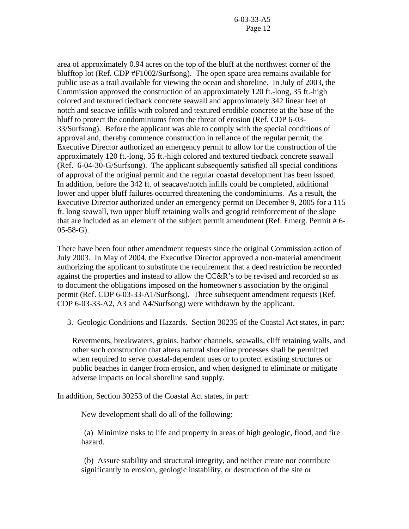area of approximately 0.94 acres on the top of the bluff at the northwest corner of the blufftop lot (Ref. CDP #F1002/Surfsong). The open space area remains available for public use as a trail available for viewing the ocean and shoreline. In July of 2003, the Commission approved the construction of an approximately 120 ft.-long, 35 ft.-high colored and textured tiedback concrete seawall and approximately 342 linear feet of notch and seacave infills with colored and textured erodible concrete at the base of the bluff to protect the condominiums from the threat of erosion (Ref. CDP 6-03- 33/Surfsong). Before the applicant was able to comply with the special conditions of approval and, thereby commence construction in reliance of the regular permit, the Executive Director authorized an emergency permit to allow for the construction of the approximately 120 ft.-long, 35 ft.-high colored and textured tiedback concrete seawall (Ref. 6-04-30-G/Surfsong). The applicant subsequently satisfied all special conditions of approval of the original permit and the regular coastal development has been issued. In addition, before the 342 ft. of seacave/notch infills could be completed, additional lower and upper bluff failures occurred threatening the condominiums. As a result, the Executive Director authorized under an emergency permit on December 9, 2005 for a 115 ft. long seawall, two upper bluff retaining walls and geogrid reinforcement of the slope that are included as an element of the subject permit amendment (Ref. Emerg. Permit # 6- 05-58-G).

There have been four other amendment requests since the original Commission action of July 2003. In May of 2004, the Executive Director approved a non-material amendment authorizing the applicant to substitute the requirement that a deed restriction be recorded against the properties and instead to allow the CC&R's to be revised and recorded so as to document the obligations imposed on the homeowner's association by the original permit (Ref. CDP 6-03-33-A1/Surfsong). Three subsequent amendment requests (Ref. CDP 6-03-33-A2, A3 and A4/Surfsong) were withdrawn by the applicant.

3. Geologic Conditions and Hazards. Section 30235 of the Coastal Act states, in part:

Revetments, breakwaters, groins, harbor channels, seawalls, cliff retaining walls, and other such construction that alters natural shoreline processes shall be permitted when required to serve coastal-dependent uses or to protect existing structures or public beaches in danger from erosion, and when designed to eliminate or mitigate adverse impacts on local shoreline sand supply.

In addition, Section 30253 of the Coastal Act states, in part:

New development shall do all of the following:

 (a) Minimize risks to life and property in areas of high geologic, flood, and fire hazard.

 (b) Assure stability and structural integrity, and neither create nor contribute significantly to erosion, geologic instability, or destruction of the site or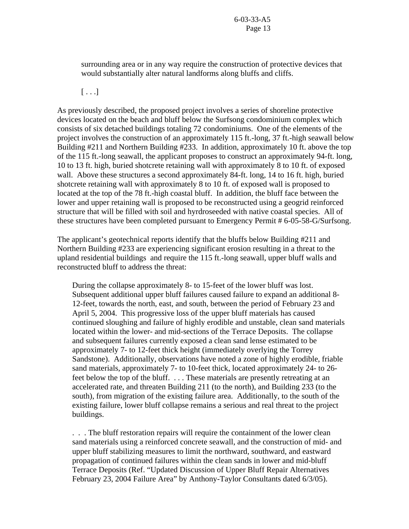surrounding area or in any way require the construction of protective devices that would substantially alter natural landforms along bluffs and cliffs.

 $[\ldots]$ 

As previously described, the proposed project involves a series of shoreline protective devices located on the beach and bluff below the Surfsong condominium complex which consists of six detached buildings totaling 72 condominiums. One of the elements of the project involves the construction of an approximately 115 ft.-long, 37 ft.-high seawall below Building #211 and Northern Building #233. In addition, approximately 10 ft. above the top of the 115 ft.-long seawall, the applicant proposes to construct an approximately 94-ft. long, 10 to 13 ft. high, buried shotcrete retaining wall with approximately 8 to 10 ft. of exposed wall. Above these structures a second approximately 84-ft. long, 14 to 16 ft. high, buried shotcrete retaining wall with approximately 8 to 10 ft. of exposed wall is proposed to located at the top of the 78 ft.-high coastal bluff. In addition, the bluff face between the lower and upper retaining wall is proposed to be reconstructed using a geogrid reinforced structure that will be filled with soil and hyrdroseeded with native coastal species. All of these structures have been completed pursuant to Emergency Permit # 6-05-58-G/Surfsong.

The applicant's geotechnical reports identify that the bluffs below Building #211 and Northern Building #233 are experiencing significant erosion resulting in a threat to the upland residential buildings and require the 115 ft.-long seawall, upper bluff walls and reconstructed bluff to address the threat:

During the collapse approximately 8- to 15-feet of the lower bluff was lost. Subsequent additional upper bluff failures caused failure to expand an additional 8- 12-feet, towards the north, east, and south, between the period of February 23 and April 5, 2004. This progressive loss of the upper bluff materials has caused continued sloughing and failure of highly erodible and unstable, clean sand materials located within the lower- and mid-sections of the Terrace Deposits. The collapse and subsequent failures currently exposed a clean sand lense estimated to be approximately 7- to 12-feet thick height (immediately overlying the Torrey Sandstone). Additionally, observations have noted a zone of highly erodible, friable sand materials, approximately 7- to 10-feet thick, located approximately 24- to 26 feet below the top of the bluff. . . . These materials are presently retreating at an accelerated rate, and threaten Building 211 (to the north), and Building 233 (to the south), from migration of the existing failure area. Additionally, to the south of the existing failure, lower bluff collapse remains a serious and real threat to the project buildings.

. . . The bluff restoration repairs will require the containment of the lower clean sand materials using a reinforced concrete seawall, and the construction of mid- and upper bluff stabilizing measures to limit the northward, southward, and eastward propagation of continued failures within the clean sands in lower and mid-bluff Terrace Deposits (Ref. "Updated Discussion of Upper Bluff Repair Alternatives February 23, 2004 Failure Area" by Anthony-Taylor Consultants dated 6/3/05).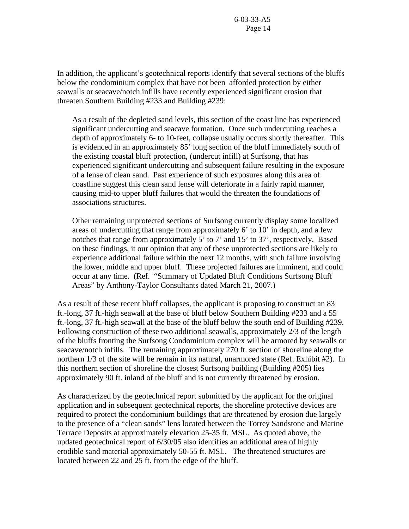In addition, the applicant's geotechnical reports identify that several sections of the bluffs below the condominium complex that have not been afforded protection by either seawalls or seacave/notch infills have recently experienced significant erosion that threaten Southern Building #233 and Building #239:

As a result of the depleted sand levels, this section of the coast line has experienced significant undercutting and seacave formation. Once such undercutting reaches a depth of approximately 6- to 10-feet, collapse usually occurs shortly thereafter. This is evidenced in an approximately 85' long section of the bluff immediately south of the existing coastal bluff protection, (undercut infill) at Surfsong, that has experienced significant undercutting and subsequent failure resulting in the exposure of a lense of clean sand. Past experience of such exposures along this area of coastline suggest this clean sand lense will deteriorate in a fairly rapid manner, causing mid-to upper bluff failures that would the threaten the foundations of associations structures.

Other remaining unprotected sections of Surfsong currently display some localized areas of undercutting that range from approximately 6' to 10' in depth, and a few notches that range from approximately 5' to 7' and 15' to 37', respectively. Based on these findings, it our opinion that any of these unprotected sections are likely to experience additional failure within the next 12 months, with such failure involving the lower, middle and upper bluff. These projected failures are imminent, and could occur at any time. (Ref. "Summary of Updated Bluff Conditions Surfsong Bluff Areas" by Anthony-Taylor Consultants dated March 21, 2007.)

As a result of these recent bluff collapses, the applicant is proposing to construct an 83 ft.-long, 37 ft.-high seawall at the base of bluff below Southern Building #233 and a 55 ft.-long, 37 ft.-high seawall at the base of the bluff below the south end of Building #239. Following construction of these two additional seawalls, approximately 2/3 of the length of the bluffs fronting the Surfsong Condominium complex will be armored by seawalls or seacave/notch infills. The remaining approximately 270 ft. section of shoreline along the northern 1/3 of the site will be remain in its natural, unarmored state (Ref. Exhibit #2). In this northern section of shoreline the closest Surfsong building (Building #205) lies approximately 90 ft. inland of the bluff and is not currently threatened by erosion.

As characterized by the geotechnical report submitted by the applicant for the original application and in subsequent geotechnical reports, the shoreline protective devices are required to protect the condominium buildings that are threatened by erosion due largely to the presence of a "clean sands" lens located between the Torrey Sandstone and Marine Terrace Deposits at approximately elevation 25-35 ft. MSL. As quoted above, the updated geotechnical report of 6/30/05 also identifies an additional area of highly erodible sand material approximately 50-55 ft. MSL. The threatened structures are located between 22 and 25 ft. from the edge of the bluff.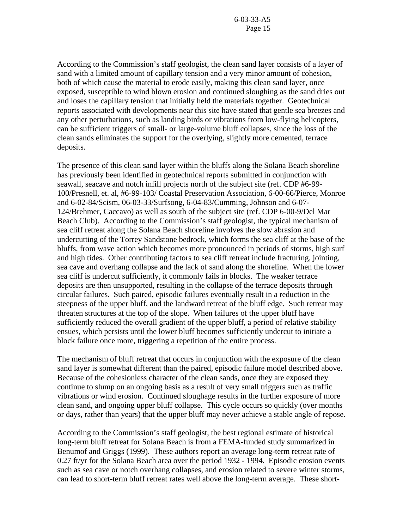According to the Commission's staff geologist, the clean sand layer consists of a layer of sand with a limited amount of capillary tension and a very minor amount of cohesion, both of which cause the material to erode easily, making this clean sand layer, once exposed, susceptible to wind blown erosion and continued sloughing as the sand dries out and loses the capillary tension that initially held the materials together. Geotechnical reports associated with developments near this site have stated that gentle sea breezes and any other perturbations, such as landing birds or vibrations from low-flying helicopters, can be sufficient triggers of small- or large-volume bluff collapses, since the loss of the clean sands eliminates the support for the overlying, slightly more cemented, terrace deposits.

The presence of this clean sand layer within the bluffs along the Solana Beach shoreline has previously been identified in geotechnical reports submitted in conjunction with seawall, seacave and notch infill projects north of the subject site (ref. CDP #6-99- 100/Presnell, et. al, #6-99-103/ Coastal Preservation Association, 6-00-66/Pierce, Monroe and 6-02-84/Scism, 06-03-33/Surfsong, 6-04-83/Cumming, Johnson and 6-07- 124/Brehmer, Caccavo) as well as south of the subject site (ref. CDP 6-00-9/Del Mar Beach Club). According to the Commission's staff geologist, the typical mechanism of sea cliff retreat along the Solana Beach shoreline involves the slow abrasion and undercutting of the Torrey Sandstone bedrock, which forms the sea cliff at the base of the bluffs, from wave action which becomes more pronounced in periods of storms, high surf and high tides. Other contributing factors to sea cliff retreat include fracturing, jointing, sea cave and overhang collapse and the lack of sand along the shoreline. When the lower sea cliff is undercut sufficiently, it commonly fails in blocks. The weaker terrace deposits are then unsupported, resulting in the collapse of the terrace deposits through circular failures. Such paired, episodic failures eventually result in a reduction in the steepness of the upper bluff, and the landward retreat of the bluff edge. Such retreat may threaten structures at the top of the slope. When failures of the upper bluff have sufficiently reduced the overall gradient of the upper bluff, a period of relative stability ensues, which persists until the lower bluff becomes sufficiently undercut to initiate a block failure once more, triggering a repetition of the entire process.

The mechanism of bluff retreat that occurs in conjunction with the exposure of the clean sand layer is somewhat different than the paired, episodic failure model described above. Because of the cohesionless character of the clean sands, once they are exposed they continue to slump on an ongoing basis as a result of very small triggers such as traffic vibrations or wind erosion. Continued sloughage results in the further exposure of more clean sand, and ongoing upper bluff collapse. This cycle occurs so quickly (over months or days, rather than years) that the upper bluff may never achieve a stable angle of repose.

According to the Commission's staff geologist, the best regional estimate of historical long-term bluff retreat for Solana Beach is from a FEMA-funded study summarized in Benumof and Griggs (1999). These authors report an average long-term retreat rate of 0.27 ft/yr for the Solana Beach area over the period 1932 - 1994. Episodic erosion events such as sea cave or notch overhang collapses, and erosion related to severe winter storms, can lead to short-term bluff retreat rates well above the long-term average. These short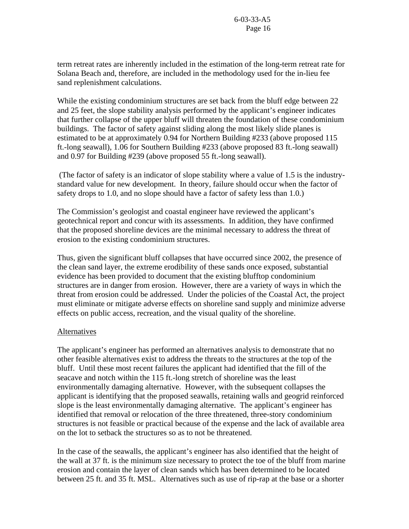term retreat rates are inherently included in the estimation of the long-term retreat rate for Solana Beach and, therefore, are included in the methodology used for the in-lieu fee sand replenishment calculations.

While the existing condominium structures are set back from the bluff edge between 22 and 25 feet, the slope stability analysis performed by the applicant's engineer indicates that further collapse of the upper bluff will threaten the foundation of these condominium buildings. The factor of safety against sliding along the most likely slide planes is estimated to be at approximately 0.94 for Northern Building #233 (above proposed 115 ft.-long seawall), 1.06 for Southern Building #233 (above proposed 83 ft.-long seawall) and 0.97 for Building #239 (above proposed 55 ft.-long seawall).

 (The factor of safety is an indicator of slope stability where a value of 1.5 is the industrystandard value for new development. In theory, failure should occur when the factor of safety drops to 1.0, and no slope should have a factor of safety less than 1.0.)

The Commission's geologist and coastal engineer have reviewed the applicant's geotechnical report and concur with its assessments. In addition, they have confirmed that the proposed shoreline devices are the minimal necessary to address the threat of erosion to the existing condominium structures.

Thus, given the significant bluff collapses that have occurred since 2002, the presence of the clean sand layer, the extreme erodibility of these sands once exposed, substantial evidence has been provided to document that the existing blufftop condominium structures are in danger from erosion. However, there are a variety of ways in which the threat from erosion could be addressed. Under the policies of the Coastal Act, the project must eliminate or mitigate adverse effects on shoreline sand supply and minimize adverse effects on public access, recreation, and the visual quality of the shoreline.

## Alternatives

The applicant's engineer has performed an alternatives analysis to demonstrate that no other feasible alternatives exist to address the threats to the structures at the top of the bluff. Until these most recent failures the applicant had identified that the fill of the seacave and notch within the 115 ft.-long stretch of shoreline was the least environmentally damaging alternative. However, with the subsequent collapses the applicant is identifying that the proposed seawalls, retaining walls and geogrid reinforced slope is the least environmentally damaging alternative. The applicant's engineer has identified that removal or relocation of the three threatened, three-story condominium structures is not feasible or practical because of the expense and the lack of available area on the lot to setback the structures so as to not be threatened.

In the case of the seawalls, the applicant's engineer has also identified that the height of the wall at 37 ft. is the minimum size necessary to protect the toe of the bluff from marine erosion and contain the layer of clean sands which has been determined to be located between 25 ft. and 35 ft. MSL. Alternatives such as use of rip-rap at the base or a shorter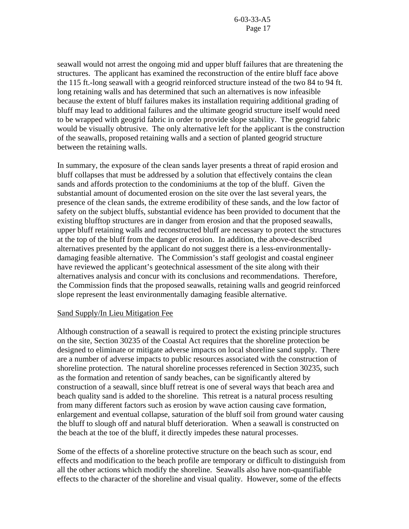seawall would not arrest the ongoing mid and upper bluff failures that are threatening the structures. The applicant has examined the reconstruction of the entire bluff face above the 115 ft.-long seawall with a geogrid reinforced structure instead of the two 84 to 94 ft. long retaining walls and has determined that such an alternatives is now infeasible because the extent of bluff failures makes its installation requiring additional grading of bluff may lead to additional failures and the ultimate geogrid structure itself would need to be wrapped with geogrid fabric in order to provide slope stability. The geogrid fabric would be visually obtrusive. The only alternative left for the applicant is the construction of the seawalls, proposed retaining walls and a section of planted geogrid structure between the retaining walls.

In summary, the exposure of the clean sands layer presents a threat of rapid erosion and bluff collapses that must be addressed by a solution that effectively contains the clean sands and affords protection to the condominiums at the top of the bluff. Given the substantial amount of documented erosion on the site over the last several years, the presence of the clean sands, the extreme erodibility of these sands, and the low factor of safety on the subject bluffs, substantial evidence has been provided to document that the existing blufftop structures are in danger from erosion and that the proposed seawalls, upper bluff retaining walls and reconstructed bluff are necessary to protect the structures at the top of the bluff from the danger of erosion. In addition, the above-described alternatives presented by the applicant do not suggest there is a less-environmentallydamaging feasible alternative. The Commission's staff geologist and coastal engineer have reviewed the applicant's geotechnical assessment of the site along with their alternatives analysis and concur with its conclusions and recommendations. Therefore, the Commission finds that the proposed seawalls, retaining walls and geogrid reinforced slope represent the least environmentally damaging feasible alternative.

## Sand Supply/In Lieu Mitigation Fee

Although construction of a seawall is required to protect the existing principle structures on the site, Section 30235 of the Coastal Act requires that the shoreline protection be designed to eliminate or mitigate adverse impacts on local shoreline sand supply. There are a number of adverse impacts to public resources associated with the construction of shoreline protection. The natural shoreline processes referenced in Section 30235, such as the formation and retention of sandy beaches, can be significantly altered by construction of a seawall, since bluff retreat is one of several ways that beach area and beach quality sand is added to the shoreline. This retreat is a natural process resulting from many different factors such as erosion by wave action causing cave formation, enlargement and eventual collapse, saturation of the bluff soil from ground water causing the bluff to slough off and natural bluff deterioration. When a seawall is constructed on the beach at the toe of the bluff, it directly impedes these natural processes.

Some of the effects of a shoreline protective structure on the beach such as scour, end effects and modification to the beach profile are temporary or difficult to distinguish from all the other actions which modify the shoreline. Seawalls also have non-quantifiable effects to the character of the shoreline and visual quality. However, some of the effects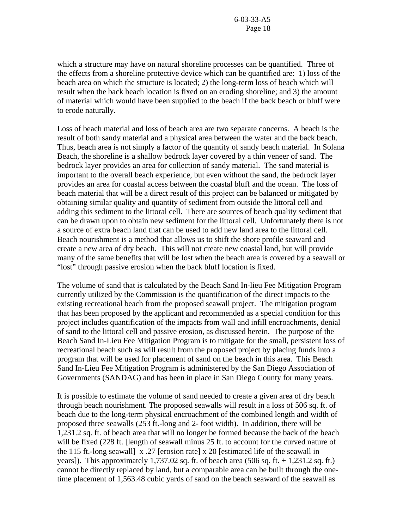which a structure may have on natural shoreline processes can be quantified. Three of the effects from a shoreline protective device which can be quantified are: 1) loss of the beach area on which the structure is located; 2) the long-term loss of beach which will result when the back beach location is fixed on an eroding shoreline; and 3) the amount of material which would have been supplied to the beach if the back beach or bluff were to erode naturally.

Loss of beach material and loss of beach area are two separate concerns. A beach is the result of both sandy material and a physical area between the water and the back beach. Thus, beach area is not simply a factor of the quantity of sandy beach material. In Solana Beach, the shoreline is a shallow bedrock layer covered by a thin veneer of sand. The bedrock layer provides an area for collection of sandy material. The sand material is important to the overall beach experience, but even without the sand, the bedrock layer provides an area for coastal access between the coastal bluff and the ocean. The loss of beach material that will be a direct result of this project can be balanced or mitigated by obtaining similar quality and quantity of sediment from outside the littoral cell and adding this sediment to the littoral cell. There are sources of beach quality sediment that can be drawn upon to obtain new sediment for the littoral cell. Unfortunately there is not a source of extra beach land that can be used to add new land area to the littoral cell. Beach nourishment is a method that allows us to shift the shore profile seaward and create a new area of dry beach. This will not create new coastal land, but will provide many of the same benefits that will be lost when the beach area is covered by a seawall or "lost" through passive erosion when the back bluff location is fixed.

The volume of sand that is calculated by the Beach Sand In-lieu Fee Mitigation Program currently utilized by the Commission is the quantification of the direct impacts to the existing recreational beach from the proposed seawall project. The mitigation program that has been proposed by the applicant and recommended as a special condition for this project includes quantification of the impacts from wall and infill encroachments, denial of sand to the littoral cell and passive erosion, as discussed herein. The purpose of the Beach Sand In-Lieu Fee Mitigation Program is to mitigate for the small, persistent loss of recreational beach such as will result from the proposed project by placing funds into a program that will be used for placement of sand on the beach in this area. This Beach Sand In-Lieu Fee Mitigation Program is administered by the San Diego Association of Governments (SANDAG) and has been in place in San Diego County for many years.

It is possible to estimate the volume of sand needed to create a given area of dry beach through beach nourishment. The proposed seawalls will result in a loss of 506 sq. ft. of beach due to the long-term physical encroachment of the combined length and width of proposed three seawalls (253 ft.-long and 2- foot width). In addition, there will be 1,231.2 sq. ft. of beach area that will no longer be formed because the back of the beach will be fixed (228 ft. [length of seawall minus 25 ft. to account for the curved nature of the 115 ft.-long seawall] x .27 [erosion rate] x 20 [estimated life of the seawall in years]). This approximately 1,737.02 sq. ft. of beach area (506 sq. ft. + 1,231.2 sq. ft.) cannot be directly replaced by land, but a comparable area can be built through the onetime placement of 1,563.48 cubic yards of sand on the beach seaward of the seawall as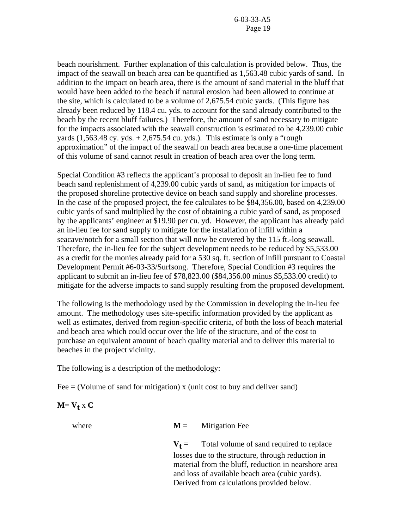beach nourishment. Further explanation of this calculation is provided below. Thus, the impact of the seawall on beach area can be quantified as 1,563.48 cubic yards of sand. In addition to the impact on beach area, there is the amount of sand material in the bluff that would have been added to the beach if natural erosion had been allowed to continue at the site, which is calculated to be a volume of 2,675.54 cubic yards. (This figure has already been reduced by 118.4 cu. yds. to account for the sand already contributed to the beach by the recent bluff failures.) Therefore, the amount of sand necessary to mitigate for the impacts associated with the seawall construction is estimated to be 4,239.00 cubic yards  $(1,563.48 \text{ cy. yds.} + 2,675.54 \text{ cu. yds.})$ . This estimate is only a "rough approximation" of the impact of the seawall on beach area because a one-time placement of this volume of sand cannot result in creation of beach area over the long term.

Special Condition #3 reflects the applicant's proposal to deposit an in-lieu fee to fund beach sand replenishment of 4,239.00 cubic yards of sand, as mitigation for impacts of the proposed shoreline protective device on beach sand supply and shoreline processes. In the case of the proposed project, the fee calculates to be \$84,356.00, based on 4,239.00 cubic yards of sand multiplied by the cost of obtaining a cubic yard of sand, as proposed by the applicants' engineer at \$19.90 per cu. yd. However, the applicant has already paid an in-lieu fee for sand supply to mitigate for the installation of infill within a seacave/notch for a small section that will now be covered by the 115 ft.-long seawall. Therefore, the in-lieu fee for the subject development needs to be reduced by \$5,533.00 as a credit for the monies already paid for a 530 sq. ft. section of infill pursuant to Coastal Development Permit #6-03-33/Surfsong. Therefore, Special Condition #3 requires the applicant to submit an in-lieu fee of \$78,823.00 (\$84,356.00 minus \$5,533.00 credit) to mitigate for the adverse impacts to sand supply resulting from the proposed development.

The following is the methodology used by the Commission in developing the in-lieu fee amount. The methodology uses site-specific information provided by the applicant as well as estimates, derived from region-specific criteria, of both the loss of beach material and beach area which could occur over the life of the structure, and of the cost to purchase an equivalent amount of beach quality material and to deliver this material to beaches in the project vicinity.

The following is a description of the methodology:

Fee  $=$  (Volume of sand for mitigation) x (unit cost to buy and deliver sand)

# $M = V_t x C$

where  $M =$  Mitigation Fee

 $V<sub>f</sub>$  = Total volume of sand required to replace losses due to the structure, through reduction in material from the bluff, reduction in nearshore area and loss of available beach area (cubic yards). Derived from calculations provided below.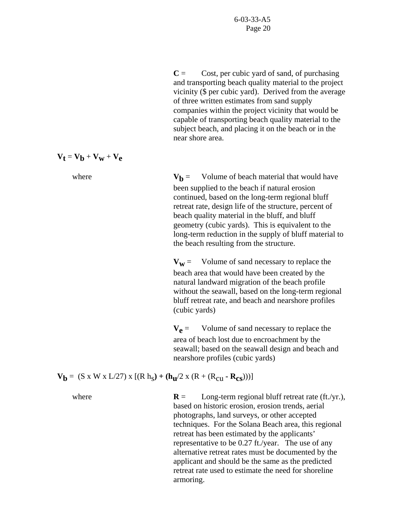$C =$  Cost, per cubic yard of sand, of purchasing and transporting beach quality material to the project vicinity (\$ per cubic yard). Derived from the average of three written estimates from sand supply companies within the project vicinity that would be capable of transporting beach quality material to the subject beach, and placing it on the beach or in the near shore area.

$$
\boldsymbol{V}_t = \boldsymbol{V}_b + \boldsymbol{V}_w + \boldsymbol{V}_e
$$

where  $V<sub>b</sub>$  = Volume of beach material that would have been supplied to the beach if natural erosion continued, based on the long-term regional bluff retreat rate, design life of the structure, percent of beach quality material in the bluff, and bluff geometry (cubic yards). This is equivalent to the long-term reduction in the supply of bluff material to the beach resulting from the structure.

> $V_W$  = Volume of sand necessary to replace the beach area that would have been created by the natural landward migration of the beach profile without the seawall, based on the long-term regional bluff retreat rate, and beach and nearshore profiles (cubic yards)

 $V_e$  = Volume of sand necessary to replace the area of beach lost due to encroachment by the seawall; based on the seawall design and beach and nearshore profiles (cubic yards)

**V<sub>b</sub>** = (S x W x L/27) x  $[(R h_S) + (h_u/2 x (R + (R_{cu} - R_{cs})))]$ 

where **R** = Long-term regional bluff retreat rate (ft./yr.), based on historic erosion, erosion trends, aerial photographs, land surveys, or other accepted techniques. For the Solana Beach area, this regional retreat has been estimated by the applicants' representative to be 0.27 ft./year. The use of any alternative retreat rates must be documented by the applicant and should be the same as the predicted retreat rate used to estimate the need for shoreline armoring.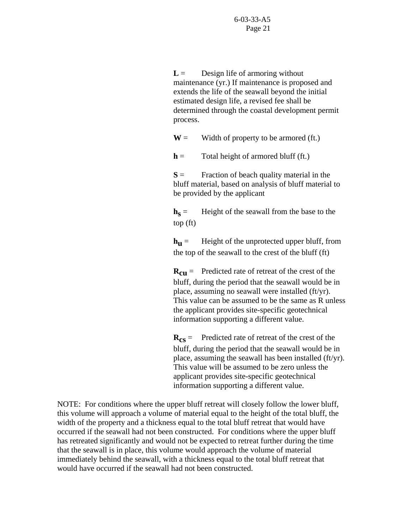$L =$  Design life of armoring without maintenance (yr.) If maintenance is proposed and extends the life of the seawall beyond the initial estimated design life, a revised fee shall be determined through the coastal development permit process.

 $W =$  Width of property to be armored (ft.)

 $h =$  Total height of armored bluff (ft.)

 $S =$  Fraction of beach quality material in the bluff material, based on analysis of bluff material to be provided by the applicant

 $h_s$  = Height of the seawall from the base to the top (ft)

 $h_{\text{H}}$  = Height of the unprotected upper bluff, from the top of the seawall to the crest of the bluff (ft)

 $R_{\text{cii}} =$  Predicted rate of retreat of the crest of the bluff, during the period that the seawall would be in place, assuming no seawall were installed (ft/yr). This value can be assumed to be the same as R unless the applicant provides site-specific geotechnical information supporting a different value.

 $R_{cs}$  = Predicted rate of retreat of the crest of the bluff, during the period that the seawall would be in place, assuming the seawall has been installed (ft/yr). This value will be assumed to be zero unless the applicant provides site-specific geotechnical information supporting a different value.

NOTE: For conditions where the upper bluff retreat will closely follow the lower bluff, this volume will approach a volume of material equal to the height of the total bluff, the width of the property and a thickness equal to the total bluff retreat that would have occurred if the seawall had not been constructed. For conditions where the upper bluff has retreated significantly and would not be expected to retreat further during the time that the seawall is in place, this volume would approach the volume of material immediately behind the seawall, with a thickness equal to the total bluff retreat that would have occurred if the seawall had not been constructed.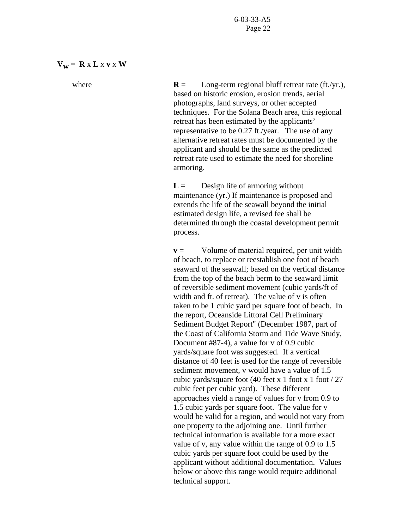### $V_w = R \times L \times V \times W$

where **R** = Long-term regional bluff retreat rate (ft./yr.), based on historic erosion, erosion trends, aerial photographs, land surveys, or other accepted techniques. For the Solana Beach area, this regional retreat has been estimated by the applicants' representative to be 0.27 ft./year. The use of any alternative retreat rates must be documented by the applicant and should be the same as the predicted retreat rate used to estimate the need for shoreline armoring.

> $L =$  Design life of armoring without maintenance (yr.) If maintenance is proposed and extends the life of the seawall beyond the initial estimated design life, a revised fee shall be determined through the coastal development permit process.

 $v =$  Volume of material required, per unit width of beach, to replace or reestablish one foot of beach seaward of the seawall; based on the vertical distance from the top of the beach berm to the seaward limit of reversible sediment movement (cubic yards/ft of width and ft. of retreat). The value of v is often taken to be 1 cubic yard per square foot of beach. In the report, Oceanside Littoral Cell Preliminary Sediment Budget Report" (December 1987, part of the Coast of California Storm and Tide Wave Study, Document #87-4), a value for v of 0.9 cubic yards/square foot was suggested. If a vertical distance of 40 feet is used for the range of reversible sediment movement, v would have a value of 1.5 cubic yards/square foot (40 feet x 1 foot x 1 foot  $/$  27 cubic feet per cubic yard). These different approaches yield a range of values for v from 0.9 to 1.5 cubic yards per square foot. The value for v would be valid for a region, and would not vary from one property to the adjoining one. Until further technical information is available for a more exact value of v, any value within the range of 0.9 to 1.5 cubic yards per square foot could be used by the applicant without additional documentation. Values below or above this range would require additional technical support.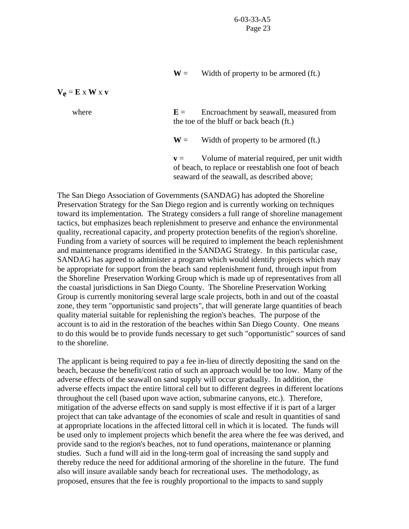$W =$  Width of property to be armored (ft.)

 $V_e = E \times W \times V$ 

where **E**  $E =$  Encroachment by seawall, measured from the toe of the bluff or back beach (ft.)

 $W =$  Width of property to be armored (ft.)

 $v =$  Volume of material required, per unit width of beach, to replace or reestablish one foot of beach seaward of the seawall, as described above;

The San Diego Association of Governments (SANDAG) has adopted the Shoreline Preservation Strategy for the San Diego region and is currently working on techniques toward its implementation. The Strategy considers a full range of shoreline management tactics, but emphasizes beach replenishment to preserve and enhance the environmental quality, recreational capacity, and property protection benefits of the region's shoreline. Funding from a variety of sources will be required to implement the beach replenishment and maintenance programs identified in the SANDAG Strategy. In this particular case, SANDAG has agreed to administer a program which would identify projects which may be appropriate for support from the beach sand replenishment fund, through input from the Shoreline Preservation Working Group which is made up of representatives from all the coastal jurisdictions in San Diego County. The Shoreline Preservation Working Group is currently monitoring several large scale projects, both in and out of the coastal zone, they term "opportunistic sand projects", that will generate large quantities of beach quality material suitable for replenishing the region's beaches. The purpose of the account is to aid in the restoration of the beaches within San Diego County. One means to do this would be to provide funds necessary to get such "opportunistic" sources of sand to the shoreline.

The applicant is being required to pay a fee in-lieu of directly depositing the sand on the beach, because the benefit/cost ratio of such an approach would be too low. Many of the adverse effects of the seawall on sand supply will occur gradually. In addition, the adverse effects impact the entire littoral cell but to different degrees in different locations throughout the cell (based upon wave action, submarine canyons, etc.). Therefore, mitigation of the adverse effects on sand supply is most effective if it is part of a larger project that can take advantage of the economies of scale and result in quantities of sand at appropriate locations in the affected littoral cell in which it is located. The funds will be used only to implement projects which benefit the area where the fee was derived, and provide sand to the region's beaches, not to fund operations, maintenance or planning studies. Such a fund will aid in the long-term goal of increasing the sand supply and thereby reduce the need for additional armoring of the shoreline in the future. The fund also will insure available sandy beach for recreational uses. The methodology, as proposed, ensures that the fee is roughly proportional to the impacts to sand supply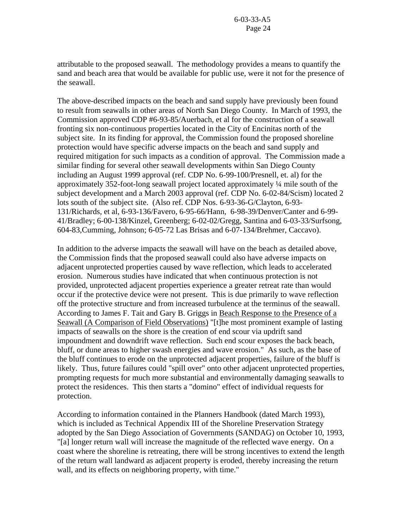attributable to the proposed seawall. The methodology provides a means to quantify the sand and beach area that would be available for public use, were it not for the presence of the seawall.

The above-described impacts on the beach and sand supply have previously been found to result from seawalls in other areas of North San Diego County. In March of 1993, the Commission approved CDP #6-93-85/Auerbach, et al for the construction of a seawall fronting six non-continuous properties located in the City of Encinitas north of the subject site. In its finding for approval, the Commission found the proposed shoreline protection would have specific adverse impacts on the beach and sand supply and required mitigation for such impacts as a condition of approval. The Commission made a similar finding for several other seawall developments within San Diego County including an August 1999 approval (ref. CDP No. 6-99-100/Presnell, et. al) for the approximately 352-foot-long seawall project located approximately ¼ mile south of the subject development and a March 2003 approval (ref. CDP No. 6-02-84/Scism) located 2 lots south of the subject site. (Also ref. CDP Nos. 6-93-36-G/Clayton, 6-93- 131/Richards, et al, 6-93-136/Favero, 6-95-66/Hann, 6-98-39/Denver/Canter and 6-99- 41/Bradley; 6-00-138/Kinzel, Greenberg; 6-02-02/Gregg, Santina and 6-03-33/Surfsong, 604-83,Cumming, Johnson; 6-05-72 Las Brisas and 6-07-134/Brehmer, Caccavo).

In addition to the adverse impacts the seawall will have on the beach as detailed above, the Commission finds that the proposed seawall could also have adverse impacts on adjacent unprotected properties caused by wave reflection, which leads to accelerated erosion. Numerous studies have indicated that when continuous protection is not provided, unprotected adjacent properties experience a greater retreat rate than would occur if the protective device were not present. This is due primarily to wave reflection off the protective structure and from increased turbulence at the terminus of the seawall. According to James F. Tait and Gary B. Griggs in Beach Response to the Presence of a Seawall (A Comparison of Field Observations) "[t]he most prominent example of lasting impacts of seawalls on the shore is the creation of end scour via updrift sand impoundment and downdrift wave reflection. Such end scour exposes the back beach, bluff, or dune areas to higher swash energies and wave erosion." As such, as the base of the bluff continues to erode on the unprotected adjacent properties, failure of the bluff is likely. Thus, future failures could "spill over" onto other adjacent unprotected properties, prompting requests for much more substantial and environmentally damaging seawalls to protect the residences. This then starts a "domino" effect of individual requests for protection.

According to information contained in the Planners Handbook (dated March 1993), which is included as Technical Appendix III of the Shoreline Preservation Strategy adopted by the San Diego Association of Governments (SANDAG) on October 10, 1993, "[a] longer return wall will increase the magnitude of the reflected wave energy. On a coast where the shoreline is retreating, there will be strong incentives to extend the length of the return wall landward as adjacent property is eroded, thereby increasing the return wall, and its effects on neighboring property, with time."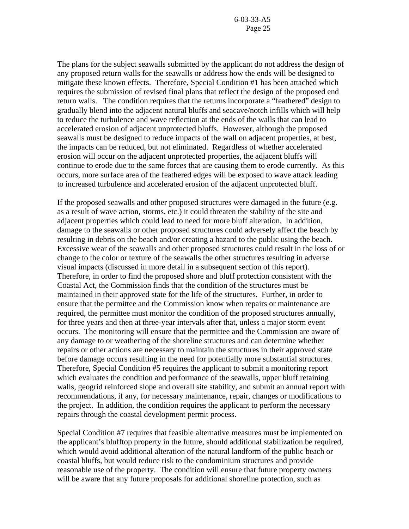The plans for the subject seawalls submitted by the applicant do not address the design of any proposed return walls for the seawalls or address how the ends will be designed to mitigate these known effects. Therefore, Special Condition #1 has been attached which requires the submission of revised final plans that reflect the design of the proposed end return walls. The condition requires that the returns incorporate a "feathered" design to gradually blend into the adjacent natural bluffs and seacave/notch infills which will help to reduce the turbulence and wave reflection at the ends of the walls that can lead to accelerated erosion of adjacent unprotected bluffs. However, although the proposed seawalls must be designed to reduce impacts of the wall on adjacent properties, at best, the impacts can be reduced, but not eliminated. Regardless of whether accelerated erosion will occur on the adjacent unprotected properties, the adjacent bluffs will continue to erode due to the same forces that are causing them to erode currently. As this occurs, more surface area of the feathered edges will be exposed to wave attack leading to increased turbulence and accelerated erosion of the adjacent unprotected bluff.

If the proposed seawalls and other proposed structures were damaged in the future (e.g. as a result of wave action, storms, etc.) it could threaten the stability of the site and adjacent properties which could lead to need for more bluff alteration. In addition, damage to the seawalls or other proposed structures could adversely affect the beach by resulting in debris on the beach and/or creating a hazard to the public using the beach. Excessive wear of the seawalls and other proposed structures could result in the loss of or change to the color or texture of the seawalls the other structures resulting in adverse visual impacts (discussed in more detail in a subsequent section of this report). Therefore, in order to find the proposed shore and bluff protection consistent with the Coastal Act, the Commission finds that the condition of the structures must be maintained in their approved state for the life of the structures. Further, in order to ensure that the permittee and the Commission know when repairs or maintenance are required, the permittee must monitor the condition of the proposed structures annually, for three years and then at three-year intervals after that, unless a major storm event occurs. The monitoring will ensure that the permittee and the Commission are aware of any damage to or weathering of the shoreline structures and can determine whether repairs or other actions are necessary to maintain the structures in their approved state before damage occurs resulting in the need for potentially more substantial structures. Therefore, Special Condition #5 requires the applicant to submit a monitoring report which evaluates the condition and performance of the seawalls, upper bluff retaining walls, geogrid reinforced slope and overall site stability, and submit an annual report with recommendations, if any, for necessary maintenance, repair, changes or modifications to the project. In addition, the condition requires the applicant to perform the necessary repairs through the coastal development permit process.

Special Condition #7 requires that feasible alternative measures must be implemented on the applicant's blufftop property in the future, should additional stabilization be required, which would avoid additional alteration of the natural landform of the public beach or coastal bluffs, but would reduce risk to the condominium structures and provide reasonable use of the property. The condition will ensure that future property owners will be aware that any future proposals for additional shoreline protection, such as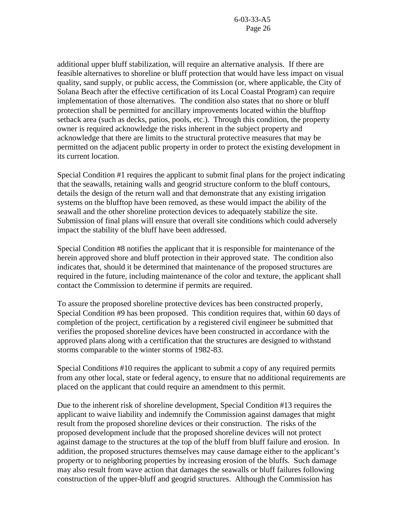additional upper bluff stabilization, will require an alternative analysis. If there are feasible alternatives to shoreline or bluff protection that would have less impact on visual quality, sand supply, or public access, the Commission (or, where applicable, the City of Solana Beach after the effective certification of its Local Coastal Program) can require implementation of those alternatives. The condition also states that no shore or bluff protection shall be permitted for ancillary improvements located within the blufftop setback area (such as decks, patios, pools, etc.). Through this condition, the property owner is required acknowledge the risks inherent in the subject property and acknowledge that there are limits to the structural protective measures that may be permitted on the adjacent public property in order to protect the existing development in its current location.

Special Condition #1 requires the applicant to submit final plans for the project indicating that the seawalls, retaining walls and geogrid structure conform to the bluff contours, details the design of the return wall and that demonstrate that any existing irrigation systems on the blufftop have been removed, as these would impact the ability of the seawall and the other shoreline protection devices to adequately stabilize the site. Submission of final plans will ensure that overall site conditions which could adversely impact the stability of the bluff have been addressed.

Special Condition #8 notifies the applicant that it is responsible for maintenance of the herein approved shore and bluff protection in their approved state. The condition also indicates that, should it be determined that maintenance of the proposed structures are required in the future, including maintenance of the color and texture, the applicant shall contact the Commission to determine if permits are required.

To assure the proposed shoreline protective devices has been constructed properly, Special Condition #9 has been proposed. This condition requires that, within 60 days of completion of the project, certification by a registered civil engineer be submitted that verifies the proposed shoreline devices have been constructed in accordance with the approved plans along with a certification that the structures are designed to withstand storms comparable to the winter storms of 1982-83.

Special Conditions #10 requires the applicant to submit a copy of any required permits from any other local, state or federal agency, to ensure that no additional requirements are placed on the applicant that could require an amendment to this permit.

Due to the inherent risk of shoreline development, Special Condition #13 requires the applicant to waive liability and indemnify the Commission against damages that might result from the proposed shoreline devices or their construction. The risks of the proposed development include that the proposed shoreline devices will not protect against damage to the structures at the top of the bluff from bluff failure and erosion. In addition, the proposed structures themselves may cause damage either to the applicant's property or to neighboring properties by increasing erosion of the bluffs. Such damage may also result from wave action that damages the seawalls or bluff failures following construction of the upper-bluff and geogrid structures. Although the Commission has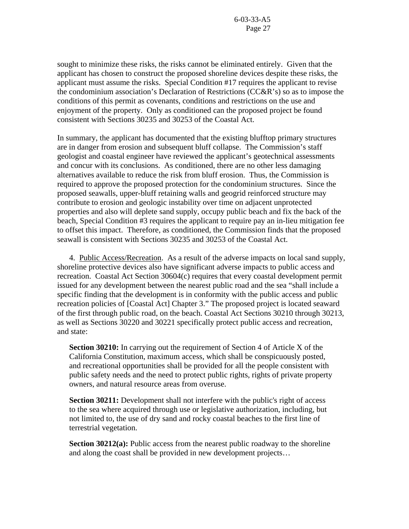sought to minimize these risks, the risks cannot be eliminated entirely. Given that the applicant has chosen to construct the proposed shoreline devices despite these risks, the applicant must assume the risks. Special Condition #17 requires the applicant to revise the condominium association's Declaration of Restrictions (CC&R's) so as to impose the conditions of this permit as covenants, conditions and restrictions on the use and enjoyment of the property. Only as conditioned can the proposed project be found consistent with Sections 30235 and 30253 of the Coastal Act.

In summary, the applicant has documented that the existing blufftop primary structures are in danger from erosion and subsequent bluff collapse. The Commission's staff geologist and coastal engineer have reviewed the applicant's geotechnical assessments and concur with its conclusions. As conditioned, there are no other less damaging alternatives available to reduce the risk from bluff erosion. Thus, the Commission is required to approve the proposed protection for the condominium structures. Since the proposed seawalls, upper-bluff retaining walls and geogrid reinforced structure may contribute to erosion and geologic instability over time on adjacent unprotected properties and also will deplete sand supply, occupy public beach and fix the back of the beach, Special Condition #3 requires the applicant to require pay an in-lieu mitigation fee to offset this impact. Therefore, as conditioned, the Commission finds that the proposed seawall is consistent with Sections 30235 and 30253 of the Coastal Act.

4. Public Access/Recreation. As a result of the adverse impacts on local sand supply, shoreline protective devices also have significant adverse impacts to public access and recreation. Coastal Act Section 30604(c) requires that every coastal development permit issued for any development between the nearest public road and the sea "shall include a specific finding that the development is in conformity with the public access and public recreation policies of [Coastal Act] Chapter 3." The proposed project is located seaward of the first through public road, on the beach. Coastal Act Sections 30210 through 30213, as well as Sections 30220 and 30221 specifically protect public access and recreation, and state:

**Section 30210:** In carrying out the requirement of Section 4 of Article X of the California Constitution, maximum access, which shall be conspicuously posted, and recreational opportunities shall be provided for all the people consistent with public safety needs and the need to protect public rights, rights of private property owners, and natural resource areas from overuse.

**Section 30211:** Development shall not interfere with the public's right of access to the sea where acquired through use or legislative authorization, including, but not limited to, the use of dry sand and rocky coastal beaches to the first line of terrestrial vegetation.

**Section 30212(a):** Public access from the nearest public roadway to the shoreline and along the coast shall be provided in new development projects…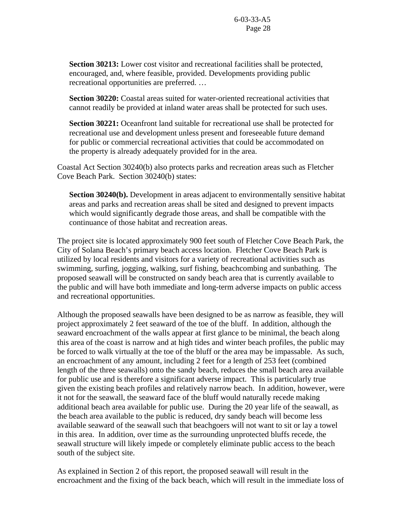**Section 30213:** Lower cost visitor and recreational facilities shall be protected, encouraged, and, where feasible, provided. Developments providing public recreational opportunities are preferred. …

**Section 30220:** Coastal areas suited for water-oriented recreational activities that cannot readily be provided at inland water areas shall be protected for such uses.

**Section 30221:** Oceanfront land suitable for recreational use shall be protected for recreational use and development unless present and foreseeable future demand for public or commercial recreational activities that could be accommodated on the property is already adequately provided for in the area.

Coastal Act Section 30240(b) also protects parks and recreation areas such as Fletcher Cove Beach Park. Section 30240(b) states:

**Section 30240(b).** Development in areas adjacent to environmentally sensitive habitat areas and parks and recreation areas shall be sited and designed to prevent impacts which would significantly degrade those areas, and shall be compatible with the continuance of those habitat and recreation areas.

The project site is located approximately 900 feet south of Fletcher Cove Beach Park, the City of Solana Beach's primary beach access location. Fletcher Cove Beach Park is utilized by local residents and visitors for a variety of recreational activities such as swimming, surfing, jogging, walking, surf fishing, beachcombing and sunbathing. The proposed seawall will be constructed on sandy beach area that is currently available to the public and will have both immediate and long-term adverse impacts on public access and recreational opportunities.

Although the proposed seawalls have been designed to be as narrow as feasible, they will project approximately 2 feet seaward of the toe of the bluff. In addition, although the seaward encroachment of the walls appear at first glance to be minimal, the beach along this area of the coast is narrow and at high tides and winter beach profiles, the public may be forced to walk virtually at the toe of the bluff or the area may be impassable. As such, an encroachment of any amount, including 2 feet for a length of 253 feet (combined length of the three seawalls) onto the sandy beach, reduces the small beach area available for public use and is therefore a significant adverse impact. This is particularly true given the existing beach profiles and relatively narrow beach. In addition, however, were it not for the seawall, the seaward face of the bluff would naturally recede making additional beach area available for public use. During the 20 year life of the seawall, as the beach area available to the public is reduced, dry sandy beach will become less available seaward of the seawall such that beachgoers will not want to sit or lay a towel in this area. In addition, over time as the surrounding unprotected bluffs recede, the seawall structure will likely impede or completely eliminate public access to the beach south of the subject site.

As explained in Section 2 of this report, the proposed seawall will result in the encroachment and the fixing of the back beach, which will result in the immediate loss of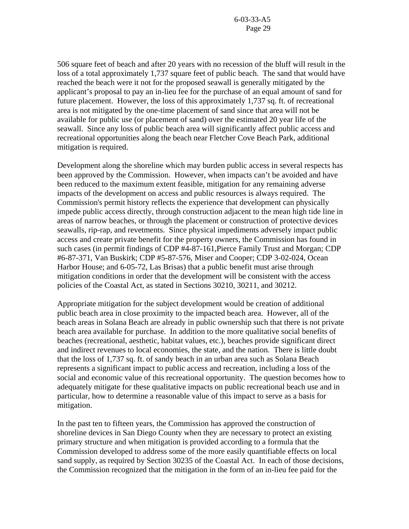506 square feet of beach and after 20 years with no recession of the bluff will result in the loss of a total approximately 1,737 square feet of public beach. The sand that would have reached the beach were it not for the proposed seawall is generally mitigated by the applicant's proposal to pay an in-lieu fee for the purchase of an equal amount of sand for future placement. However, the loss of this approximately 1,737 sq. ft. of recreational area is not mitigated by the one-time placement of sand since that area will not be available for public use (or placement of sand) over the estimated 20 year life of the seawall. Since any loss of public beach area will significantly affect public access and recreational opportunities along the beach near Fletcher Cove Beach Park, additional mitigation is required.

Development along the shoreline which may burden public access in several respects has been approved by the Commission. However, when impacts can't be avoided and have been reduced to the maximum extent feasible, mitigation for any remaining adverse impacts of the development on access and public resources is always required. The Commission's permit history reflects the experience that development can physically impede public access directly, through construction adjacent to the mean high tide line in areas of narrow beaches, or through the placement or construction of protective devices seawalls, rip-rap, and revetments. Since physical impediments adversely impact public access and create private benefit for the property owners, the Commission has found in such cases (in permit findings of CDP #4-87-161,Pierce Family Trust and Morgan; CDP #6-87-371, Van Buskirk; CDP #5-87-576, Miser and Cooper; CDP 3-02-024, Ocean Harbor House; and 6-05-72, Las Brisas) that a public benefit must arise through mitigation conditions in order that the development will be consistent with the access policies of the Coastal Act, as stated in Sections 30210, 30211, and 30212.

Appropriate mitigation for the subject development would be creation of additional public beach area in close proximity to the impacted beach area. However, all of the beach areas in Solana Beach are already in public ownership such that there is not private beach area available for purchase. In addition to the more qualitative social benefits of beaches (recreational, aesthetic, habitat values, etc.), beaches provide significant direct and indirect revenues to local economies, the state, and the nation. There is little doubt that the loss of 1,737 sq. ft. of sandy beach in an urban area such as Solana Beach represents a significant impact to public access and recreation, including a loss of the social and economic value of this recreational opportunity. The question becomes how to adequately mitigate for these qualitative impacts on public recreational beach use and in particular, how to determine a reasonable value of this impact to serve as a basis for mitigation.

In the past ten to fifteen years, the Commission has approved the construction of shoreline devices in San Diego County when they are necessary to protect an existing primary structure and when mitigation is provided according to a formula that the Commission developed to address some of the more easily quantifiable effects on local sand supply, as required by Section 30235 of the Coastal Act. In each of those decisions, the Commission recognized that the mitigation in the form of an in-lieu fee paid for the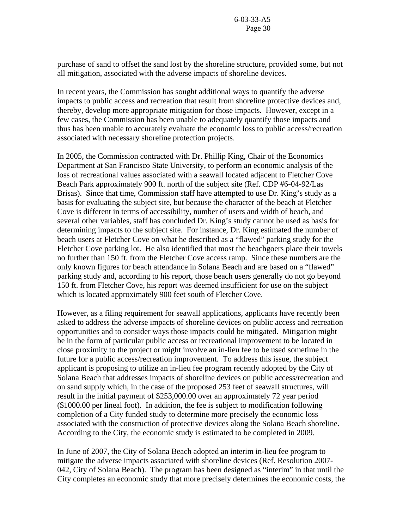purchase of sand to offset the sand lost by the shoreline structure, provided some, but not all mitigation, associated with the adverse impacts of shoreline devices.

In recent years, the Commission has sought additional ways to quantify the adverse impacts to public access and recreation that result from shoreline protective devices and, thereby, develop more appropriate mitigation for those impacts. However, except in a few cases, the Commission has been unable to adequately quantify those impacts and thus has been unable to accurately evaluate the economic loss to public access/recreation associated with necessary shoreline protection projects.

In 2005, the Commission contracted with Dr. Phillip King, Chair of the Economics Department at San Francisco State University, to perform an economic analysis of the loss of recreational values associated with a seawall located adjacent to Fletcher Cove Beach Park approximately 900 ft. north of the subject site (Ref. CDP #6-04-92/Las Brisas). Since that time, Commission staff have attempted to use Dr. King's study as a basis for evaluating the subject site, but because the character of the beach at Fletcher Cove is different in terms of accessibility, number of users and width of beach, and several other variables, staff has concluded Dr. King's study cannot be used as basis for determining impacts to the subject site. For instance, Dr. King estimated the number of beach users at Fletcher Cove on what he described as a "flawed" parking study for the Fletcher Cove parking lot. He also identified that most the beachgoers place their towels no further than 150 ft. from the Fletcher Cove access ramp. Since these numbers are the only known figures for beach attendance in Solana Beach and are based on a "flawed" parking study and, according to his report, those beach users generally do not go beyond 150 ft. from Fletcher Cove, his report was deemed insufficient for use on the subject which is located approximately 900 feet south of Fletcher Cove.

However, as a filing requirement for seawall applications, applicants have recently been asked to address the adverse impacts of shoreline devices on public access and recreation opportunities and to consider ways those impacts could be mitigated. Mitigation might be in the form of particular public access or recreational improvement to be located in close proximity to the project or might involve an in-lieu fee to be used sometime in the future for a public access/recreation improvement. To address this issue, the subject applicant is proposing to utilize an in-lieu fee program recently adopted by the City of Solana Beach that addresses impacts of shoreline devices on public access/recreation and on sand supply which, in the case of the proposed 253 feet of seawall structures, will result in the initial payment of \$253,000.00 over an approximately 72 year period (\$1000.00 per lineal foot). In addition, the fee is subject to modification following completion of a City funded study to determine more precisely the economic loss associated with the construction of protective devices along the Solana Beach shoreline. According to the City, the economic study is estimated to be completed in 2009.

In June of 2007, the City of Solana Beach adopted an interim in-lieu fee program to mitigate the adverse impacts associated with shoreline devices (Ref. Resolution 2007- 042, City of Solana Beach). The program has been designed as "interim" in that until the City completes an economic study that more precisely determines the economic costs, the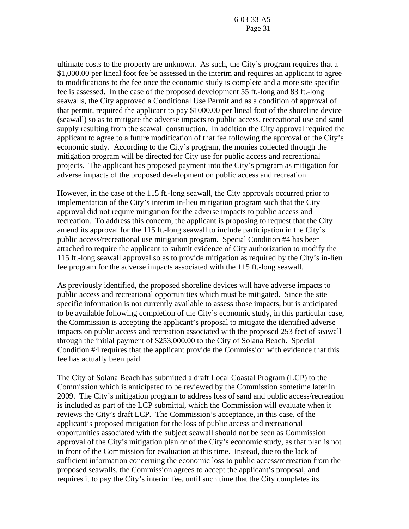ultimate costs to the property are unknown. As such, the City's program requires that a \$1,000.00 per lineal foot fee be assessed in the interim and requires an applicant to agree to modifications to the fee once the economic study is complete and a more site specific fee is assessed. In the case of the proposed development 55 ft.-long and 83 ft.-long seawalls, the City approved a Conditional Use Permit and as a condition of approval of that permit, required the applicant to pay \$1000.00 per lineal foot of the shoreline device (seawall) so as to mitigate the adverse impacts to public access, recreational use and sand supply resulting from the seawall construction. In addition the City approval required the applicant to agree to a future modification of that fee following the approval of the City's economic study. According to the City's program, the monies collected through the mitigation program will be directed for City use for public access and recreational projects. The applicant has proposed payment into the City's program as mitigation for adverse impacts of the proposed development on public access and recreation.

However, in the case of the 115 ft.-long seawall, the City approvals occurred prior to implementation of the City's interim in-lieu mitigation program such that the City approval did not require mitigation for the adverse impacts to public access and recreation. To address this concern, the applicant is proposing to request that the City amend its approval for the 115 ft.-long seawall to include participation in the City's public access/recreational use mitigation program. Special Condition #4 has been attached to require the applicant to submit evidence of City authorization to modify the 115 ft.-long seawall approval so as to provide mitigation as required by the City's in-lieu fee program for the adverse impacts associated with the 115 ft.-long seawall.

As previously identified, the proposed shoreline devices will have adverse impacts to public access and recreational opportunities which must be mitigated. Since the site specific information is not currently available to assess those impacts, but is anticipated to be available following completion of the City's economic study, in this particular case, the Commission is accepting the applicant's proposal to mitigate the identified adverse impacts on public access and recreation associated with the proposed 253 feet of seawall through the initial payment of \$253,000.00 to the City of Solana Beach. Special Condition #4 requires that the applicant provide the Commission with evidence that this fee has actually been paid.

The City of Solana Beach has submitted a draft Local Coastal Program (LCP) to the Commission which is anticipated to be reviewed by the Commission sometime later in 2009. The City's mitigation program to address loss of sand and public access/recreation is included as part of the LCP submittal, which the Commission will evaluate when it reviews the City's draft LCP. The Commission's acceptance, in this case, of the applicant's proposed mitigation for the loss of public access and recreational opportunities associated with the subject seawall should not be seen as Commission approval of the City's mitigation plan or of the City's economic study, as that plan is not in front of the Commission for evaluation at this time. Instead, due to the lack of sufficient information concerning the economic loss to public access/recreation from the proposed seawalls, the Commission agrees to accept the applicant's proposal, and requires it to pay the City's interim fee, until such time that the City completes its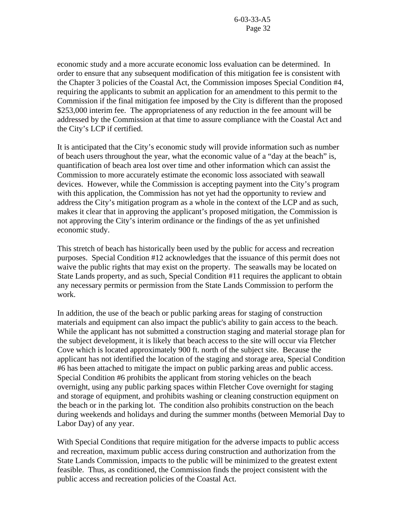economic study and a more accurate economic loss evaluation can be determined. In order to ensure that any subsequent modification of this mitigation fee is consistent with the Chapter 3 policies of the Coastal Act, the Commission imposes Special Condition #4, requiring the applicants to submit an application for an amendment to this permit to the Commission if the final mitigation fee imposed by the City is different than the proposed \$253,000 interim fee. The appropriateness of any reduction in the fee amount will be addressed by the Commission at that time to assure compliance with the Coastal Act and the City's LCP if certified.

It is anticipated that the City's economic study will provide information such as number of beach users throughout the year, what the economic value of a "day at the beach" is, quantification of beach area lost over time and other information which can assist the Commission to more accurately estimate the economic loss associated with seawall devices. However, while the Commission is accepting payment into the City's program with this application, the Commission has not yet had the opportunity to review and address the City's mitigation program as a whole in the context of the LCP and as such, makes it clear that in approving the applicant's proposed mitigation, the Commission is not approving the City's interim ordinance or the findings of the as yet unfinished economic study.

This stretch of beach has historically been used by the public for access and recreation purposes. Special Condition #12 acknowledges that the issuance of this permit does not waive the public rights that may exist on the property. The seawalls may be located on State Lands property, and as such, Special Condition #11 requires the applicant to obtain any necessary permits or permission from the State Lands Commission to perform the work.

In addition, the use of the beach or public parking areas for staging of construction materials and equipment can also impact the public's ability to gain access to the beach. While the applicant has not submitted a construction staging and material storage plan for the subject development, it is likely that beach access to the site will occur via Fletcher Cove which is located approximately 900 ft. north of the subject site. Because the applicant has not identified the location of the staging and storage area, Special Condition #6 has been attached to mitigate the impact on public parking areas and public access. Special Condition #6 prohibits the applicant from storing vehicles on the beach overnight, using any public parking spaces within Fletcher Cove overnight for staging and storage of equipment, and prohibits washing or cleaning construction equipment on the beach or in the parking lot. The condition also prohibits construction on the beach during weekends and holidays and during the summer months (between Memorial Day to Labor Day) of any year.

With Special Conditions that require mitigation for the adverse impacts to public access and recreation, maximum public access during construction and authorization from the State Lands Commission, impacts to the public will be minimized to the greatest extent feasible. Thus, as conditioned, the Commission finds the project consistent with the public access and recreation policies of the Coastal Act.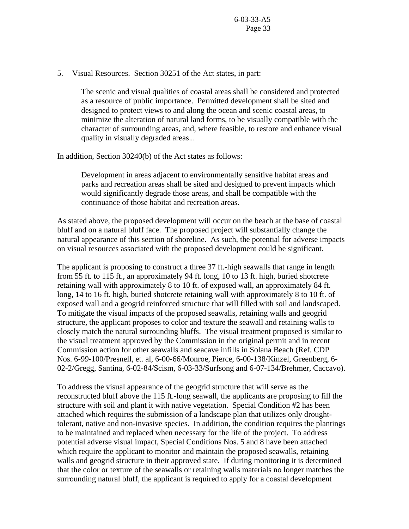5. Visual Resources. Section 30251 of the Act states, in part:

The scenic and visual qualities of coastal areas shall be considered and protected as a resource of public importance. Permitted development shall be sited and designed to protect views to and along the ocean and scenic coastal areas, to minimize the alteration of natural land forms, to be visually compatible with the character of surrounding areas, and, where feasible, to restore and enhance visual quality in visually degraded areas...

In addition, Section 30240(b) of the Act states as follows:

Development in areas adjacent to environmentally sensitive habitat areas and parks and recreation areas shall be sited and designed to prevent impacts which would significantly degrade those areas, and shall be compatible with the continuance of those habitat and recreation areas.

As stated above, the proposed development will occur on the beach at the base of coastal bluff and on a natural bluff face. The proposed project will substantially change the natural appearance of this section of shoreline. As such, the potential for adverse impacts on visual resources associated with the proposed development could be significant.

The applicant is proposing to construct a three 37 ft.-high seawalls that range in length from 55 ft. to 115 ft., an approximately 94 ft. long, 10 to 13 ft. high, buried shotcrete retaining wall with approximately 8 to 10 ft. of exposed wall, an approximately 84 ft. long, 14 to 16 ft. high, buried shotcrete retaining wall with approximately 8 to 10 ft. of exposed wall and a geogrid reinforced structure that will filled with soil and landscaped. To mitigate the visual impacts of the proposed seawalls, retaining walls and geogrid structure, the applicant proposes to color and texture the seawall and retaining walls to closely match the natural surrounding bluffs. The visual treatment proposed is similar to the visual treatment approved by the Commission in the original permit and in recent Commission action for other seawalls and seacave infills in Solana Beach (Ref. CDP Nos. 6-99-100/Presnell, et. al, 6-00-66/Monroe, Pierce, 6-00-138/Kinzel, Greenberg, 6- 02-2/Gregg, Santina, 6-02-84/Scism, 6-03-33/Surfsong and 6-07-134/Brehmer, Caccavo).

To address the visual appearance of the geogrid structure that will serve as the reconstructed bluff above the 115 ft.-long seawall, the applicants are proposing to fill the structure with soil and plant it with native vegetation. Special Condition #2 has been attached which requires the submission of a landscape plan that utilizes only droughttolerant, native and non-invasive species. In addition, the condition requires the plantings to be maintained and replaced when necessary for the life of the project. To address potential adverse visual impact, Special Conditions Nos. 5 and 8 have been attached which require the applicant to monitor and maintain the proposed seawalls, retaining walls and geogrid structure in their approved state. If during monitoring it is determined that the color or texture of the seawalls or retaining walls materials no longer matches the surrounding natural bluff, the applicant is required to apply for a coastal development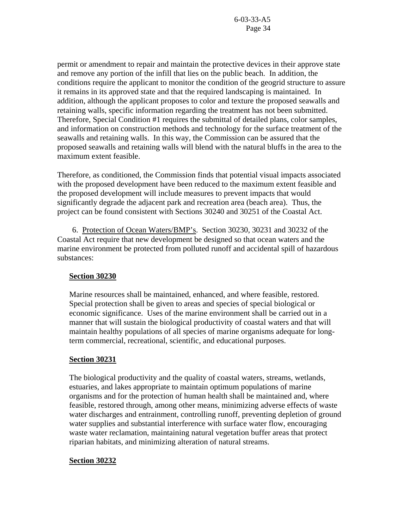permit or amendment to repair and maintain the protective devices in their approve state and remove any portion of the infill that lies on the public beach. In addition, the conditions require the applicant to monitor the condition of the geogrid structure to assure it remains in its approved state and that the required landscaping is maintained. In addition, although the applicant proposes to color and texture the proposed seawalls and retaining walls, specific information regarding the treatment has not been submitted. Therefore, Special Condition #1 requires the submittal of detailed plans, color samples, and information on construction methods and technology for the surface treatment of the seawalls and retaining walls. In this way, the Commission can be assured that the proposed seawalls and retaining walls will blend with the natural bluffs in the area to the maximum extent feasible.

Therefore, as conditioned, the Commission finds that potential visual impacts associated with the proposed development have been reduced to the maximum extent feasible and the proposed development will include measures to prevent impacts that would significantly degrade the adjacent park and recreation area (beach area). Thus, the project can be found consistent with Sections 30240 and 30251 of the Coastal Act.

6. Protection of Ocean Waters/BMP's. Section 30230, 30231 and 30232 of the Coastal Act require that new development be designed so that ocean waters and the marine environment be protected from polluted runoff and accidental spill of hazardous substances:

## **Section 30230**

Marine resources shall be maintained, enhanced, and where feasible, restored. Special protection shall be given to areas and species of special biological or economic significance. Uses of the marine environment shall be carried out in a manner that will sustain the biological productivity of coastal waters and that will maintain healthy populations of all species of marine organisms adequate for longterm commercial, recreational, scientific, and educational purposes.

## **Section 30231**

The biological productivity and the quality of coastal waters, streams, wetlands, estuaries, and lakes appropriate to maintain optimum populations of marine organisms and for the protection of human health shall be maintained and, where feasible, restored through, among other means, minimizing adverse effects of waste water discharges and entrainment, controlling runoff, preventing depletion of ground water supplies and substantial interference with surface water flow, encouraging waste water reclamation, maintaining natural vegetation buffer areas that protect riparian habitats, and minimizing alteration of natural streams.

## **Section 30232**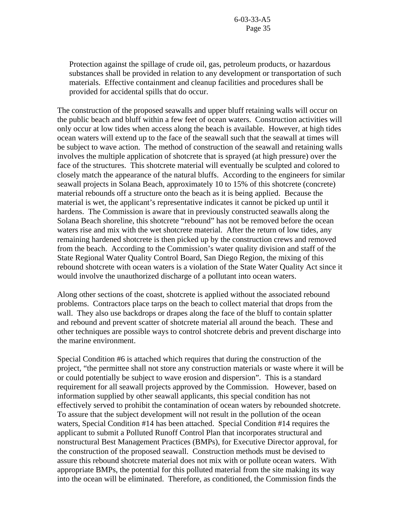Protection against the spillage of crude oil, gas, petroleum products, or hazardous substances shall be provided in relation to any development or transportation of such materials. Effective containment and cleanup facilities and procedures shall be provided for accidental spills that do occur.

The construction of the proposed seawalls and upper bluff retaining walls will occur on the public beach and bluff within a few feet of ocean waters. Construction activities will only occur at low tides when access along the beach is available. However, at high tides ocean waters will extend up to the face of the seawall such that the seawall at times will be subject to wave action. The method of construction of the seawall and retaining walls involves the multiple application of shotcrete that is sprayed (at high pressure) over the face of the structures. This shotcrete material will eventually be sculpted and colored to closely match the appearance of the natural bluffs. According to the engineers for similar seawall projects in Solana Beach, approximately 10 to 15% of this shotcrete (concrete) material rebounds off a structure onto the beach as it is being applied. Because the material is wet, the applicant's representative indicates it cannot be picked up until it hardens. The Commission is aware that in previously constructed seawalls along the Solana Beach shoreline, this shotcrete "rebound" has not be removed before the ocean waters rise and mix with the wet shotcrete material. After the return of low tides, any remaining hardened shotcrete is then picked up by the construction crews and removed from the beach. According to the Commission's water quality division and staff of the State Regional Water Quality Control Board, San Diego Region, the mixing of this rebound shotcrete with ocean waters is a violation of the State Water Quality Act since it would involve the unauthorized discharge of a pollutant into ocean waters.

Along other sections of the coast, shotcrete is applied without the associated rebound problems. Contractors place tarps on the beach to collect material that drops from the wall. They also use backdrops or drapes along the face of the bluff to contain splatter and rebound and prevent scatter of shotcrete material all around the beach. These and other techniques are possible ways to control shotcrete debris and prevent discharge into the marine environment.

Special Condition #6 is attached which requires that during the construction of the project, "the permittee shall not store any construction materials or waste where it will be or could potentially be subject to wave erosion and dispersion". This is a standard requirement for all seawall projects approved by the Commission. However, based on information supplied by other seawall applicants, this special condition has not effectively served to prohibit the contamination of ocean waters by rebounded shotcrete. To assure that the subject development will not result in the pollution of the ocean waters, Special Condition #14 has been attached. Special Condition #14 requires the applicant to submit a Polluted Runoff Control Plan that incorporates structural and nonstructural Best Management Practices (BMPs), for Executive Director approval, for the construction of the proposed seawall. Construction methods must be devised to assure this rebound shotcrete material does not mix with or pollute ocean waters. With appropriate BMPs, the potential for this polluted material from the site making its way into the ocean will be eliminated. Therefore, as conditioned, the Commission finds the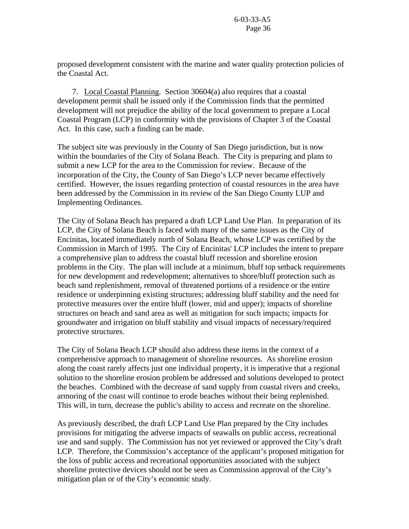proposed development consistent with the marine and water quality protection policies of the Coastal Act.

 7. Local Coastal Planning. Section 30604(a) also requires that a coastal development permit shall be issued only if the Commission finds that the permitted development will not prejudice the ability of the local government to prepare a Local Coastal Program (LCP) in conformity with the provisions of Chapter 3 of the Coastal Act. In this case, such a finding can be made.

The subject site was previously in the County of San Diego jurisdiction, but is now within the boundaries of the City of Solana Beach. The City is preparing and plans to submit a new LCP for the area to the Commission for review. Because of the incorporation of the City, the County of San Diego's LCP never became effectively certified. However, the issues regarding protection of coastal resources in the area have been addressed by the Commission in its review of the San Diego County LUP and Implementing Ordinances.

The City of Solana Beach has prepared a draft LCP Land Use Plan. In preparation of its LCP, the City of Solana Beach is faced with many of the same issues as the City of Encinitas, located immediately north of Solana Beach, whose LCP was certified by the Commission in March of 1995. The City of Encinitas' LCP includes the intent to prepare a comprehensive plan to address the coastal bluff recession and shoreline erosion problems in the City. The plan will include at a minimum, bluff top setback requirements for new development and redevelopment; alternatives to shore/bluff protection such as beach sand replenishment, removal of threatened portions of a residence or the entire residence or underpinning existing structures; addressing bluff stability and the need for protective measures over the entire bluff (lower, mid and upper); impacts of shoreline structures on beach and sand area as well as mitigation for such impacts; impacts for groundwater and irrigation on bluff stability and visual impacts of necessary/required protective structures.

The City of Solana Beach LCP should also address these items in the context of a comprehensive approach to management of shoreline resources. As shoreline erosion along the coast rarely affects just one individual property, it is imperative that a regional solution to the shoreline erosion problem be addressed and solutions developed to protect the beaches. Combined with the decrease of sand supply from coastal rivers and creeks, armoring of the coast will continue to erode beaches without their being replenished. This will, in turn, decrease the public's ability to access and recreate on the shoreline.

As previously described, the draft LCP Land Use Plan prepared by the City includes provisions for mitigating the adverse impacts of seawalls on public access, recreational use and sand supply. The Commission has not yet reviewed or approved the City's draft LCP. Therefore, the Commission's acceptance of the applicant's proposed mitigation for the loss of public access and recreational opportunities associated with the subject shoreline protective devices should not be seen as Commission approval of the City's mitigation plan or of the City's economic study.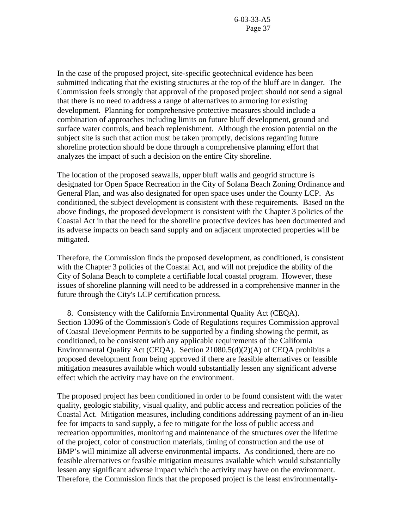In the case of the proposed project, site-specific geotechnical evidence has been submitted indicating that the existing structures at the top of the bluff are in danger. The Commission feels strongly that approval of the proposed project should not send a signal that there is no need to address a range of alternatives to armoring for existing development. Planning for comprehensive protective measures should include a combination of approaches including limits on future bluff development, ground and surface water controls, and beach replenishment. Although the erosion potential on the subject site is such that action must be taken promptly, decisions regarding future shoreline protection should be done through a comprehensive planning effort that analyzes the impact of such a decision on the entire City shoreline.

The location of the proposed seawalls, upper bluff walls and geogrid structure is designated for Open Space Recreation in the City of Solana Beach Zoning Ordinance and General Plan, and was also designated for open space uses under the County LCP. As conditioned, the subject development is consistent with these requirements. Based on the above findings, the proposed development is consistent with the Chapter 3 policies of the Coastal Act in that the need for the shoreline protective devices has been documented and its adverse impacts on beach sand supply and on adjacent unprotected properties will be mitigated.

Therefore, the Commission finds the proposed development, as conditioned, is consistent with the Chapter 3 policies of the Coastal Act, and will not prejudice the ability of the City of Solana Beach to complete a certifiable local coastal program. However, these issues of shoreline planning will need to be addressed in a comprehensive manner in the future through the City's LCP certification process.

 8. Consistency with the California Environmental Quality Act (CEQA). Section 13096 of the Commission's Code of Regulations requires Commission approval of Coastal Development Permits to be supported by a finding showing the permit, as conditioned, to be consistent with any applicable requirements of the California Environmental Quality Act (CEQA). Section 21080.5(d)(2)(A) of CEQA prohibits a proposed development from being approved if there are feasible alternatives or feasible mitigation measures available which would substantially lessen any significant adverse effect which the activity may have on the environment.

The proposed project has been conditioned in order to be found consistent with the water quality, geologic stability, visual quality, and public access and recreation policies of the Coastal Act. Mitigation measures, including conditions addressing payment of an in-lieu fee for impacts to sand supply, a fee to mitigate for the loss of public access and recreation opportunities, monitoring and maintenance of the structures over the lifetime of the project, color of construction materials, timing of construction and the use of BMP's will minimize all adverse environmental impacts. As conditioned, there are no feasible alternatives or feasible mitigation measures available which would substantially lessen any significant adverse impact which the activity may have on the environment. Therefore, the Commission finds that the proposed project is the least environmentally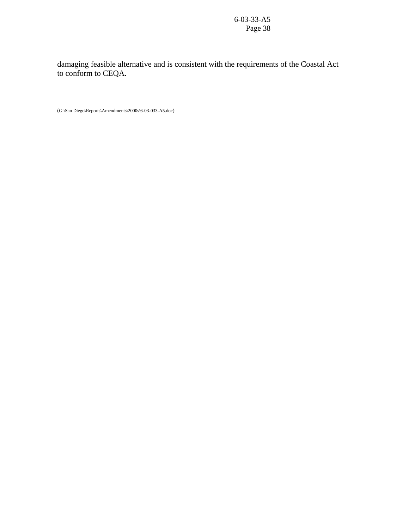damaging feasible alternative and is consistent with the requirements of the Coastal Act to conform to CEQA.

(G:\San Diego\Reports\Amendments\2000s\6-03-033-A5.doc)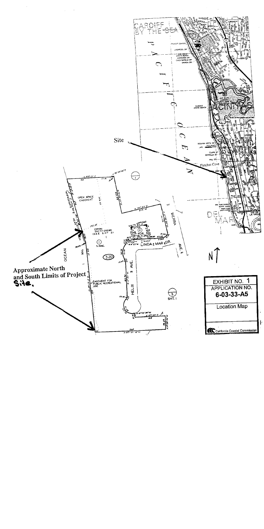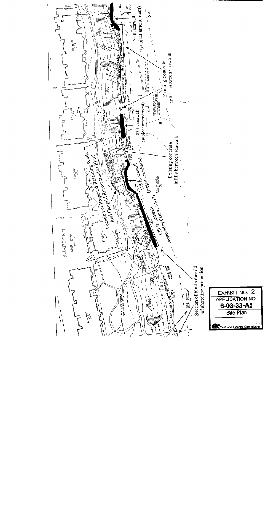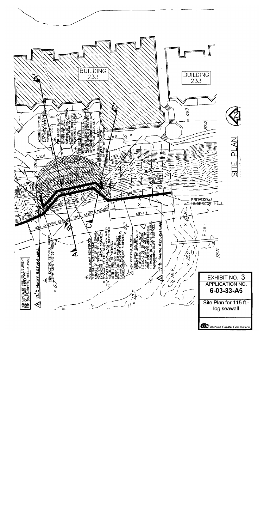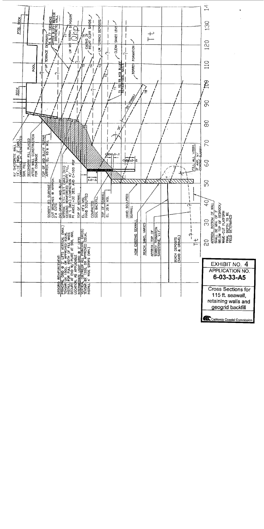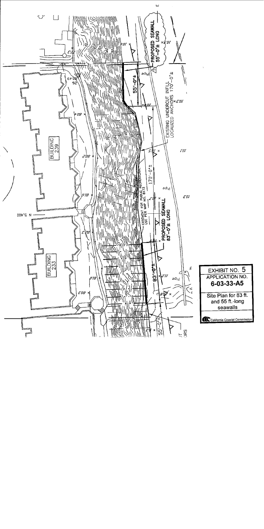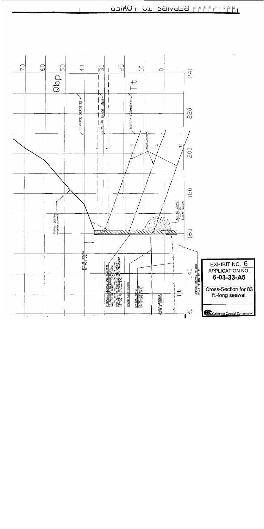